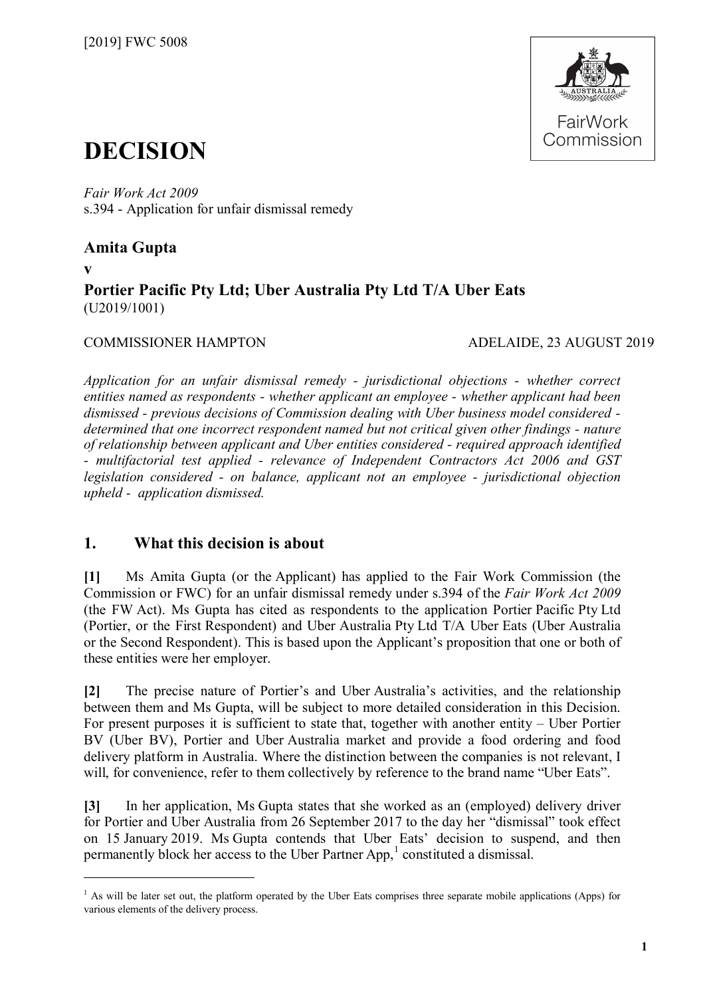

# **DECISION**

*Fair Work Act 2009*  s.394 - Application for unfair dismissal remedy

## **Amita Gupta**

**v**

 $\overline{a}$ 

## **Portier Pacific Pty Ltd; Uber Australia Pty Ltd T/A Uber Eats** (U2019/1001)

## COMMISSIONER HAMPTON ADELAIDE, 23 AUGUST 2019

*Application for an unfair dismissal remedy - jurisdictional objections - whether correct entities named as respondents - whether applicant an employee - whether applicant had been dismissed - previous decisions of Commission dealing with Uber business model considered determined that one incorrect respondent named but not critical given other findings - nature of relationship between applicant and Uber entities considered - required approach identified - multifactorial test applied - relevance of Independent Contractors Act 2006 and GST legislation considered - on balance, applicant not an employee - jurisdictional objection upheld - application dismissed.*

## **1. What this decision is about**

**[1]** Ms Amita Gupta (or the Applicant) has applied to the Fair Work Commission (the Commission or FWC) for an unfair dismissal remedy under s.394 of the *Fair Work Act 2009* (the FW Act). Ms Gupta has cited as respondents to the application Portier Pacific Pty Ltd (Portier, or the First Respondent) and Uber Australia Pty Ltd T/A Uber Eats (Uber Australia or the Second Respondent). This is based upon the Applicant's proposition that one or both of these entities were her employer.

**[2]** The precise nature of Portier's and Uber Australia's activities, and the relationship between them and Ms Gupta, will be subject to more detailed consideration in this Decision. For present purposes it is sufficient to state that, together with another entity – Uber Portier BV (Uber BV), Portier and Uber Australia market and provide a food ordering and food delivery platform in Australia. Where the distinction between the companies is not relevant, I will, for convenience, refer to them collectively by reference to the brand name "Uber Eats".

**[3]** In her application, Ms Gupta states that she worked as an (employed) delivery driver for Portier and Uber Australia from 26 September 2017 to the day her "dismissal" took effect on 15 January 2019. Ms Gupta contends that Uber Eats' decision to suspend, and then permanently block her access to the Uber Partner App, [1](#page-0-0) constituted a dismissal.

<span id="page-0-0"></span> $<sup>1</sup>$  As will be later set out, the platform operated by the Uber Eats comprises three separate mobile applications (Apps) for</sup> various elements of the delivery process.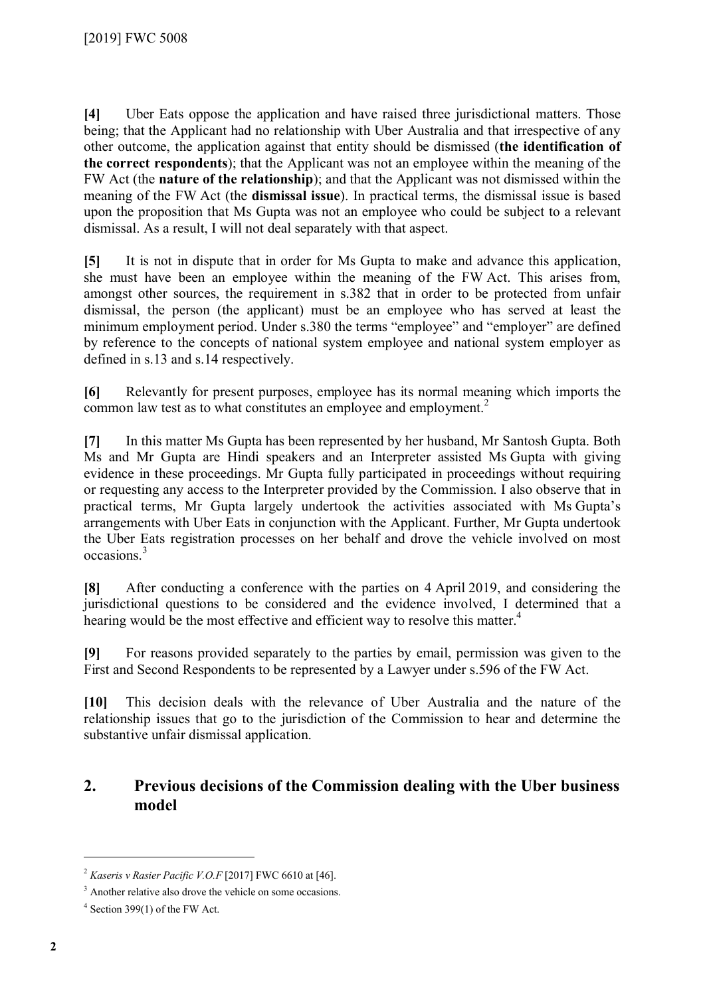**[4]** Uber Eats oppose the application and have raised three jurisdictional matters. Those being; that the Applicant had no relationship with Uber Australia and that irrespective of any other outcome, the application against that entity should be dismissed (**the identification of the correct respondents**); that the Applicant was not an employee within the meaning of the FW Act (the **nature of the relationship**); and that the Applicant was not dismissed within the meaning of the FW Act (the **dismissal issue**). In practical terms, the dismissal issue is based upon the proposition that Ms Gupta was not an employee who could be subject to a relevant dismissal. As a result, I will not deal separately with that aspect.

**[5]** It is not in dispute that in order for Ms Gupta to make and advance this application, she must have been an employee within the meaning of the FW Act. This arises from, amongst other sources, the requirement in s.382 that in order to be protected from unfair dismissal, the person (the applicant) must be an employee who has served at least the minimum employment period. Under s.380 the terms "employee" and "employer" are defined by reference to the concepts of national system employee and national system employer as defined in s.13 and s.14 respectively.

**[6]** Relevantly for present purposes, employee has its normal meaning which imports the common law test as to what constitutes an employee and employment. $<sup>2</sup>$  $<sup>2</sup>$  $<sup>2</sup>$ </sup>

**[7]** In this matter Ms Gupta has been represented by her husband, Mr Santosh Gupta. Both Ms and Mr Gupta are Hindi speakers and an Interpreter assisted Ms Gupta with giving evidence in these proceedings. Mr Gupta fully participated in proceedings without requiring or requesting any access to the Interpreter provided by the Commission. I also observe that in practical terms, Mr Gupta largely undertook the activities associated with Ms Gupta's arrangements with Uber Eats in conjunction with the Applicant. Further, Mr Gupta undertook the Uber Eats registration processes on her behalf and drove the vehicle involved on most occasions.[3](#page-1-1)

**[8]** After conducting a conference with the parties on 4 April 2019, and considering the jurisdictional questions to be considered and the evidence involved, I determined that a hearing would be the most effective and efficient way to resolve this matter.<sup>[4](#page-1-2)</sup>

**[9]** For reasons provided separately to the parties by email, permission was given to the First and Second Respondents to be represented by a Lawyer under s.596 of the FW Act.

**[10]** This decision deals with the relevance of Uber Australia and the nature of the relationship issues that go to the jurisdiction of the Commission to hear and determine the substantive unfair dismissal application.

## **2. Previous decisions of the Commission dealing with the Uber business model**

<span id="page-1-0"></span><sup>2</sup> *Kaseris v Rasier Pacific V.O.F* [2017] FWC 6610 at [46].

<span id="page-1-2"></span><span id="page-1-1"></span><sup>&</sup>lt;sup>3</sup> Another relative also drove the vehicle on some occasions.

 $4$  Section 399(1) of the FW Act.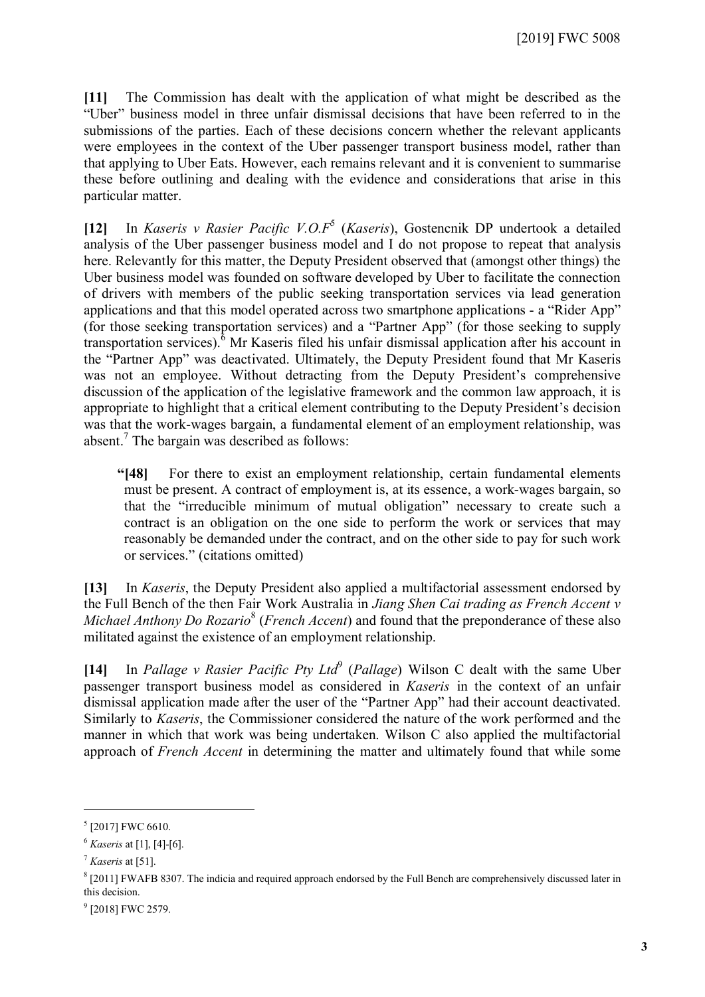**[11]** The Commission has dealt with the application of what might be described as the "Uber" business model in three unfair dismissal decisions that have been referred to in the submissions of the parties. Each of these decisions concern whether the relevant applicants were employees in the context of the Uber passenger transport business model, rather than that applying to Uber Eats. However, each remains relevant and it is convenient to summarise these before outlining and dealing with the evidence and considerations that arise in this particular matter.

**[12]** In *Kaseris v Rasier Pacific V.O.F*[5](#page-2-0) (*Kaseris*), Gostencnik DP undertook a detailed analysis of the Uber passenger business model and I do not propose to repeat that analysis here. Relevantly for this matter, the Deputy President observed that (amongst other things) the Uber business model was founded on software developed by Uber to facilitate the connection of drivers with members of the public seeking transportation services via lead generation applications and that this model operated across two smartphone applications - a "Rider App" (for those seeking transportation services) and a "Partner App" (for those seeking to supply transportation services).[6](#page-2-1) Mr Kaseris filed his unfair dismissal application after his account in the "Partner App" was deactivated. Ultimately, the Deputy President found that Mr Kaseris was not an employee. Without detracting from the Deputy President's comprehensive discussion of the application of the legislative framework and the common law approach, it is appropriate to highlight that a critical element contributing to the Deputy President's decision was that the work-wages bargain, a fundamental element of an employment relationship, was absent. [7](#page-2-2) The bargain was described as follows:

**"[48]** For there to exist an employment relationship, certain fundamental elements must be present. A contract of employment is, at its essence, a work-wages bargain, so that the "irreducible minimum of mutual obligation" necessary to create such a contract is an obligation on the one side to perform the work or services that may reasonably be demanded under the contract, and on the other side to pay for such work or services." (citations omitted)

**[13]** In *Kaseris*, the Deputy President also applied a multifactorial assessment endorsed by the Full Bench of the then Fair Work Australia in *Jiang Shen Cai trading as French Accent v*  Michael Anthony Do Rozario<sup>[8](#page-2-3)</sup> (*French Accent*) and found that the preponderance of these also militated against the existence of an employment relationship.

[14] In *Pallage v Rasier Pacific Pty Ltd<sup>[9](#page-2-4)</sup> (Pallage)* Wilson C dealt with the same Uber passenger transport business model as considered in *Kaseris* in the context of an unfair dismissal application made after the user of the "Partner App" had their account deactivated. Similarly to *Kaseris*, the Commissioner considered the nature of the work performed and the manner in which that work was being undertaken. Wilson C also applied the multifactorial approach of *French Accent* in determining the matter and ultimately found that while some

<span id="page-2-0"></span><sup>5</sup> [2017] FWC 6610.

<span id="page-2-2"></span><span id="page-2-1"></span><sup>6</sup> *Kaseris* at [1], [4]-[6].

<sup>7</sup> *Kaseris* at [51].

<span id="page-2-3"></span> $8$  [2011] FWAFB 8307. The indicia and required approach endorsed by the Full Bench are comprehensively discussed later in this decision.

<span id="page-2-4"></span><sup>&</sup>lt;sup>9</sup> [2018] FWC 2579.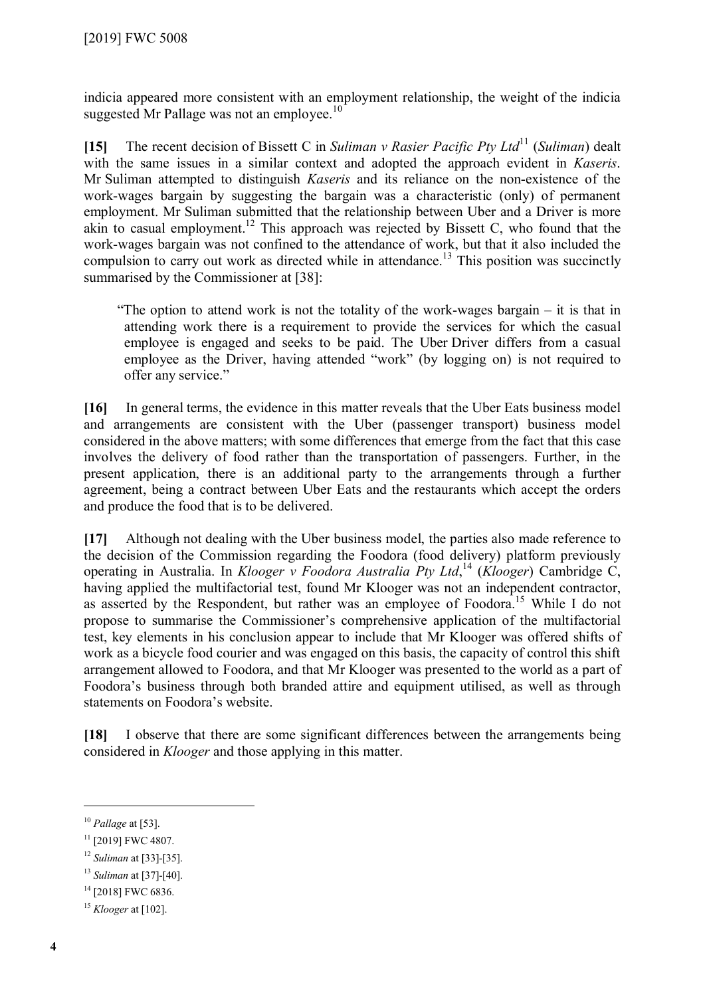indicia appeared more consistent with an employment relationship, the weight of the indicia suggested Mr Pallage was not an employee.<sup>[10](#page-3-0)</sup>

**[15]** The recent decision of Bissett C in *Suliman v Rasier Pacific Pty Ltd*[11](#page-3-1) (*Suliman*) dealt with the same issues in a similar context and adopted the approach evident in *Kaseris*. Mr Suliman attempted to distinguish *Kaseris* and its reliance on the non-existence of the work-wages bargain by suggesting the bargain was a characteristic (only) of permanent employment. Mr Suliman submitted that the relationship between Uber and a Driver is more akin to casual employment.<sup>[12](#page-3-2)</sup> This approach was rejected by Bissett C, who found that the work-wages bargain was not confined to the attendance of work, but that it also included the compulsion to carry out work as directed while in attendance.<sup>[13](#page-3-3)</sup> This position was succinctly summarised by the Commissioner at [38]:

"The option to attend work is not the totality of the work-wages bargain – it is that in attending work there is a requirement to provide the services for which the casual employee is engaged and seeks to be paid. The Uber Driver differs from a casual employee as the Driver, having attended "work" (by logging on) is not required to offer any service."

**[16]** In general terms, the evidence in this matter reveals that the Uber Eats business model and arrangements are consistent with the Uber (passenger transport) business model considered in the above matters; with some differences that emerge from the fact that this case involves the delivery of food rather than the transportation of passengers. Further, in the present application, there is an additional party to the arrangements through a further agreement, being a contract between Uber Eats and the restaurants which accept the orders and produce the food that is to be delivered.

**[17]** Although not dealing with the Uber business model, the parties also made reference to the decision of the Commission regarding the Foodora (food delivery) platform previously operating in Australia. In *Klooger v Foodora Australia Pty Ltd*, [14](#page-3-4) (*Klooger*) Cambridge C, having applied the multifactorial test, found Mr Klooger was not an independent contractor, as asserted by the Respondent, but rather was an employee of Foodora.<sup>[15](#page-3-5)</sup> While I do not propose to summarise the Commissioner's comprehensive application of the multifactorial test, key elements in his conclusion appear to include that Mr Klooger was offered shifts of work as a bicycle food courier and was engaged on this basis, the capacity of control this shift arrangement allowed to Foodora, and that Mr Klooger was presented to the world as a part of Foodora's business through both branded attire and equipment utilised, as well as through statements on Foodora's website.

**[18]** I observe that there are some significant differences between the arrangements being considered in *Klooger* and those applying in this matter.

 $\overline{a}$ 

<span id="page-3-4"></span><sup>14</sup> [2018] FWC 6836.

<span id="page-3-0"></span><sup>10</sup> *Pallage* at [53].

<span id="page-3-1"></span><sup>&</sup>lt;sup>11</sup> [2019] FWC 4807.

<span id="page-3-2"></span><sup>12</sup> *Suliman* at [33]-[35].

<span id="page-3-3"></span><sup>13</sup> *Suliman* at [37]-[40].

<span id="page-3-5"></span><sup>15</sup> *Klooger* at [102].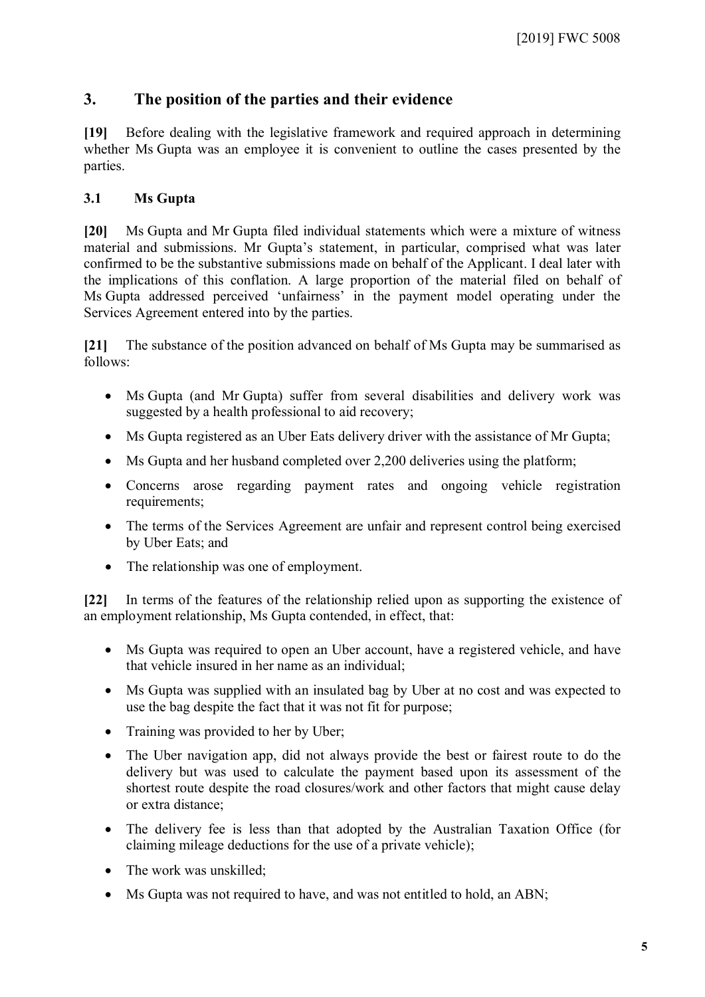## **3. The position of the parties and their evidence**

**[19]** Before dealing with the legislative framework and required approach in determining whether Ms Gupta was an employee it is convenient to outline the cases presented by the parties.

## **3.1 Ms Gupta**

**[20]** Ms Gupta and Mr Gupta filed individual statements which were a mixture of witness material and submissions. Mr Gupta's statement, in particular, comprised what was later confirmed to be the substantive submissions made on behalf of the Applicant. I deal later with the implications of this conflation. A large proportion of the material filed on behalf of Ms Gupta addressed perceived 'unfairness' in the payment model operating under the Services Agreement entered into by the parties.

**[21]** The substance of the position advanced on behalf of Ms Gupta may be summarised as follows:

- Ms Gupta (and Mr Gupta) suffer from several disabilities and delivery work was suggested by a health professional to aid recovery;
- Ms Gupta registered as an Uber Eats delivery driver with the assistance of Mr Gupta;
- Ms Gupta and her husband completed over 2.200 deliveries using the platform:
- Concerns arose regarding payment rates and ongoing vehicle registration requirements;
- The terms of the Services Agreement are unfair and represent control being exercised by Uber Eats; and
- The relationship was one of employment.

**[22]** In terms of the features of the relationship relied upon as supporting the existence of an employment relationship, Ms Gupta contended, in effect, that:

- Ms Gupta was required to open an Uber account, have a registered vehicle, and have that vehicle insured in her name as an individual;
- Ms Gupta was supplied with an insulated bag by Uber at no cost and was expected to use the bag despite the fact that it was not fit for purpose;
- Training was provided to her by Uber;
- The Uber navigation app, did not always provide the best or fairest route to do the delivery but was used to calculate the payment based upon its assessment of the shortest route despite the road closures/work and other factors that might cause delay or extra distance;
- The delivery fee is less than that adopted by the Australian Taxation Office (for claiming mileage deductions for the use of a private vehicle);
- The work was unskilled:
- Ms Gupta was not required to have, and was not entitled to hold, an ABN;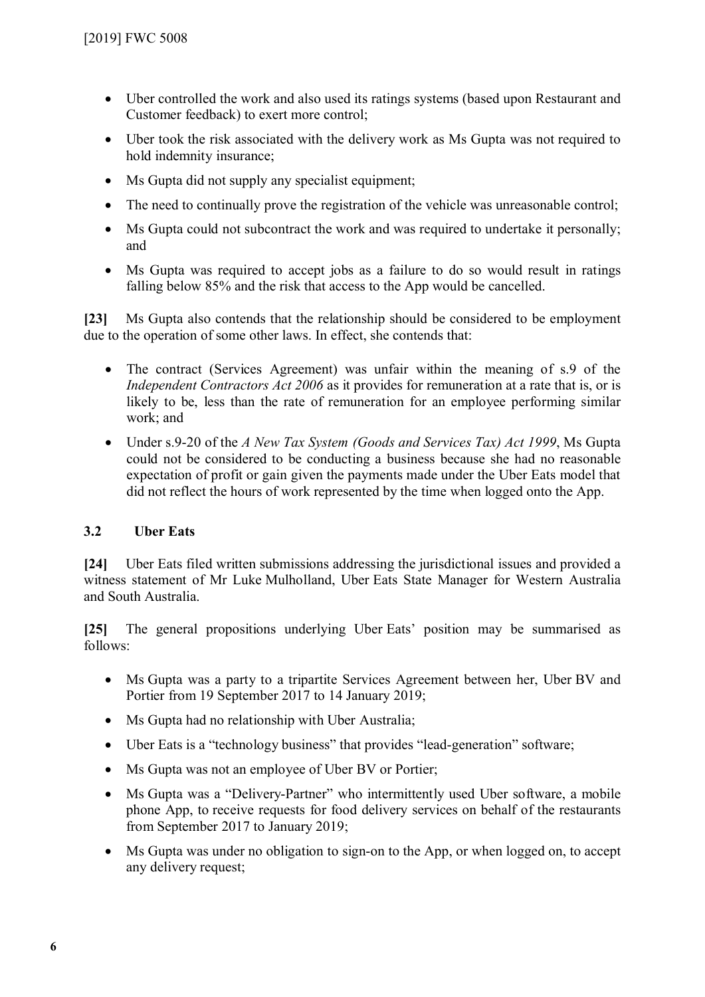- Uber controlled the work and also used its ratings systems (based upon Restaurant and Customer feedback) to exert more control;
- Uber took the risk associated with the delivery work as Ms Gupta was not required to hold indemnity insurance;
- Ms Gupta did not supply any specialist equipment:
- The need to continually prove the registration of the vehicle was unreasonable control;
- Ms Gupta could not subcontract the work and was required to undertake it personally; and
- Ms Gupta was required to accept jobs as a failure to do so would result in ratings falling below 85% and the risk that access to the App would be cancelled.

**[23]** Ms Gupta also contends that the relationship should be considered to be employment due to the operation of some other laws. In effect, she contends that:

- The contract (Services Agreement) was unfair within the meaning of s.9 of the *Independent Contractors Act 2006* as it provides for remuneration at a rate that is, or is likely to be, less than the rate of remuneration for an employee performing similar work; and
- Under s.9-20 of the *A New Tax System (Goods and Services Tax) Act 1999*, Ms Gupta could not be considered to be conducting a business because she had no reasonable expectation of profit or gain given the payments made under the Uber Eats model that did not reflect the hours of work represented by the time when logged onto the App.

## **3.2 Uber Eats**

**[24]** Uber Eats filed written submissions addressing the jurisdictional issues and provided a witness statement of Mr Luke Mulholland, Uber Eats State Manager for Western Australia and South Australia.

**[25]** The general propositions underlying Uber Eats' position may be summarised as follows:

- Ms Gupta was a party to a tripartite Services Agreement between her, Uber BV and Portier from 19 September 2017 to 14 January 2019;
- Ms Gupta had no relationship with Uber Australia;
- Uber Eats is a "technology business" that provides "lead-generation" software;
- Ms Gupta was not an employee of Uber BV or Portier;
- Ms Gupta was a "Delivery-Partner" who intermittently used Uber software, a mobile phone App, to receive requests for food delivery services on behalf of the restaurants from September 2017 to January 2019;
- Ms Gupta was under no obligation to sign-on to the App, or when logged on, to accept any delivery request;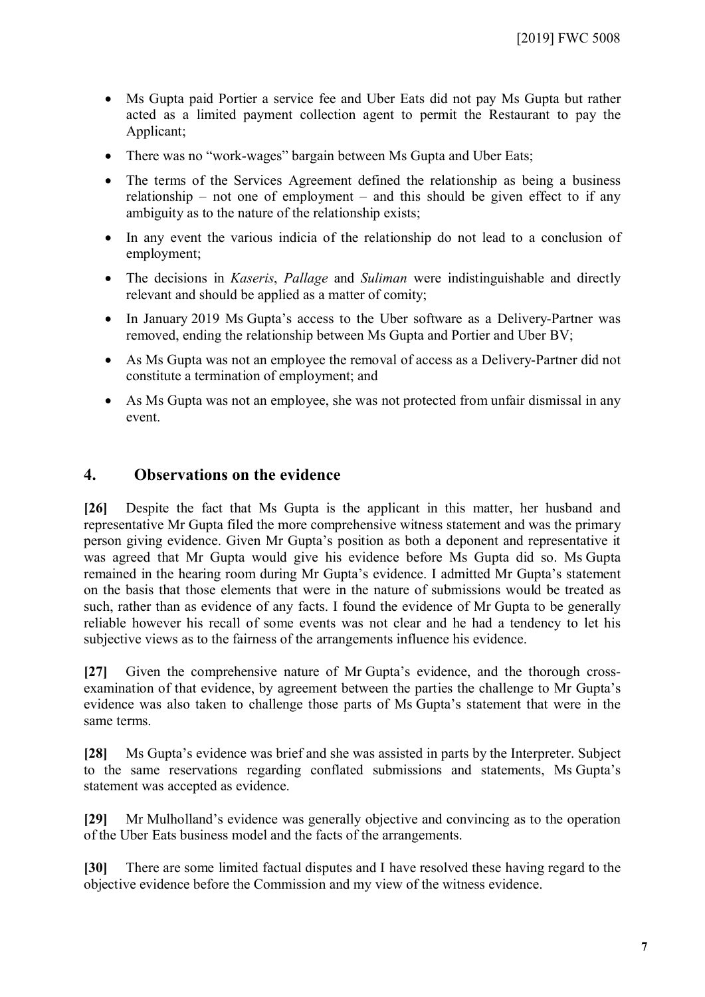- Ms Gupta paid Portier a service fee and Uber Eats did not pay Ms Gupta but rather acted as a limited payment collection agent to permit the Restaurant to pay the Applicant;
- There was no "work-wages" bargain between Ms Gupta and Uber Eats;
- The terms of the Services Agreement defined the relationship as being a business relationship – not one of employment – and this should be given effect to if any ambiguity as to the nature of the relationship exists;
- In any event the various indicia of the relationship do not lead to a conclusion of employment;
- The decisions in *Kaseris*, *Pallage* and *Suliman* were indistinguishable and directly relevant and should be applied as a matter of comity;
- In January 2019 Ms Gupta's access to the Uber software as a Delivery-Partner was removed, ending the relationship between Ms Gupta and Portier and Uber BV;
- As Ms Gupta was not an employee the removal of access as a Delivery-Partner did not constitute a termination of employment; and
- As Ms Gupta was not an employee, she was not protected from unfair dismissal in any event.

## **4. Observations on the evidence**

**[26]** Despite the fact that Ms Gupta is the applicant in this matter, her husband and representative Mr Gupta filed the more comprehensive witness statement and was the primary person giving evidence. Given Mr Gupta's position as both a deponent and representative it was agreed that Mr Gupta would give his evidence before Ms Gupta did so. Ms Gupta remained in the hearing room during Mr Gupta's evidence. I admitted Mr Gupta's statement on the basis that those elements that were in the nature of submissions would be treated as such, rather than as evidence of any facts. I found the evidence of Mr Gupta to be generally reliable however his recall of some events was not clear and he had a tendency to let his subjective views as to the fairness of the arrangements influence his evidence.

**[27]** Given the comprehensive nature of Mr Gupta's evidence, and the thorough crossexamination of that evidence, by agreement between the parties the challenge to Mr Gupta's evidence was also taken to challenge those parts of Ms Gupta's statement that were in the same terms.

**[28]** Ms Gupta's evidence was brief and she was assisted in parts by the Interpreter. Subject to the same reservations regarding conflated submissions and statements, Ms Gupta's statement was accepted as evidence.

**[29]** Mr Mulholland's evidence was generally objective and convincing as to the operation of the Uber Eats business model and the facts of the arrangements.

**[30]** There are some limited factual disputes and I have resolved these having regard to the objective evidence before the Commission and my view of the witness evidence.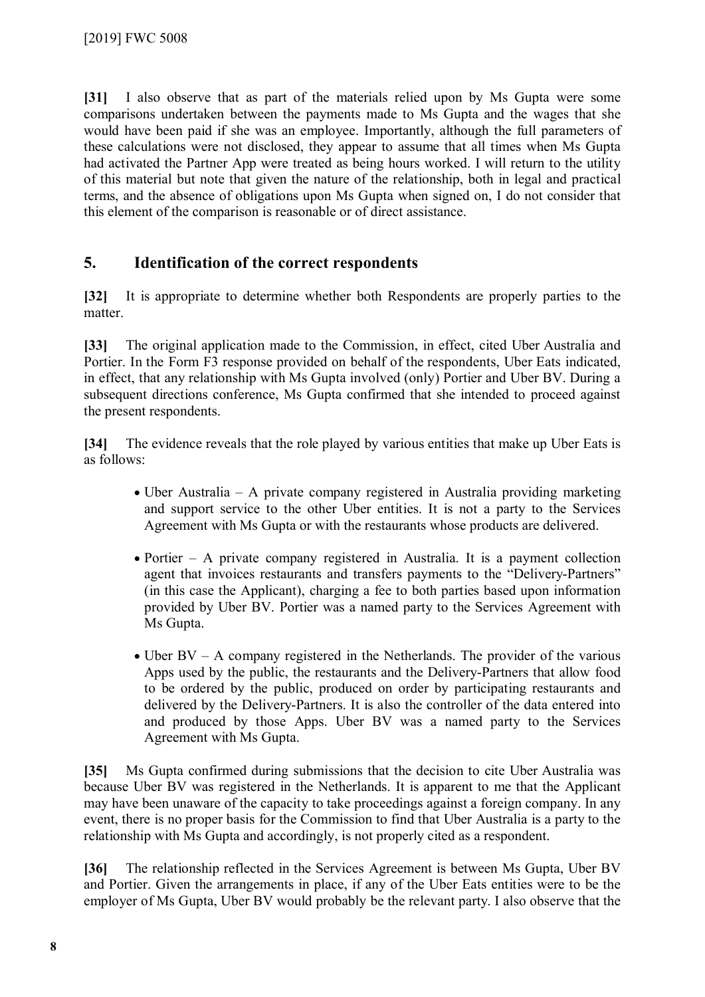**[31]** I also observe that as part of the materials relied upon by Ms Gupta were some comparisons undertaken between the payments made to Ms Gupta and the wages that she would have been paid if she was an employee. Importantly, although the full parameters of these calculations were not disclosed, they appear to assume that all times when Ms Gupta had activated the Partner App were treated as being hours worked. I will return to the utility of this material but note that given the nature of the relationship, both in legal and practical terms, and the absence of obligations upon Ms Gupta when signed on, I do not consider that this element of the comparison is reasonable or of direct assistance.

## **5. Identification of the correct respondents**

**[32]** It is appropriate to determine whether both Respondents are properly parties to the matter.

**[33]** The original application made to the Commission, in effect, cited Uber Australia and Portier. In the Form F3 response provided on behalf of the respondents, Uber Eats indicated, in effect, that any relationship with Ms Gupta involved (only) Portier and Uber BV. During a subsequent directions conference, Ms Gupta confirmed that she intended to proceed against the present respondents.

**[34]** The evidence reveals that the role played by various entities that make up Uber Eats is as follows:

- Uber Australia A private company registered in Australia providing marketing and support service to the other Uber entities. It is not a party to the Services Agreement with Ms Gupta or with the restaurants whose products are delivered.
- Portier A private company registered in Australia. It is a payment collection agent that invoices restaurants and transfers payments to the "Delivery-Partners" (in this case the Applicant), charging a fee to both parties based upon information provided by Uber BV. Portier was a named party to the Services Agreement with Ms Gupta.
- Uber BV A company registered in the Netherlands. The provider of the various Apps used by the public, the restaurants and the Delivery-Partners that allow food to be ordered by the public, produced on order by participating restaurants and delivered by the Delivery-Partners. It is also the controller of the data entered into and produced by those Apps. Uber BV was a named party to the Services Agreement with Ms Gupta.

**[35]** Ms Gupta confirmed during submissions that the decision to cite Uber Australia was because Uber BV was registered in the Netherlands. It is apparent to me that the Applicant may have been unaware of the capacity to take proceedings against a foreign company. In any event, there is no proper basis for the Commission to find that Uber Australia is a party to the relationship with Ms Gupta and accordingly, is not properly cited as a respondent.

**[36]** The relationship reflected in the Services Agreement is between Ms Gupta, Uber BV and Portier. Given the arrangements in place, if any of the Uber Eats entities were to be the employer of Ms Gupta, Uber BV would probably be the relevant party. I also observe that the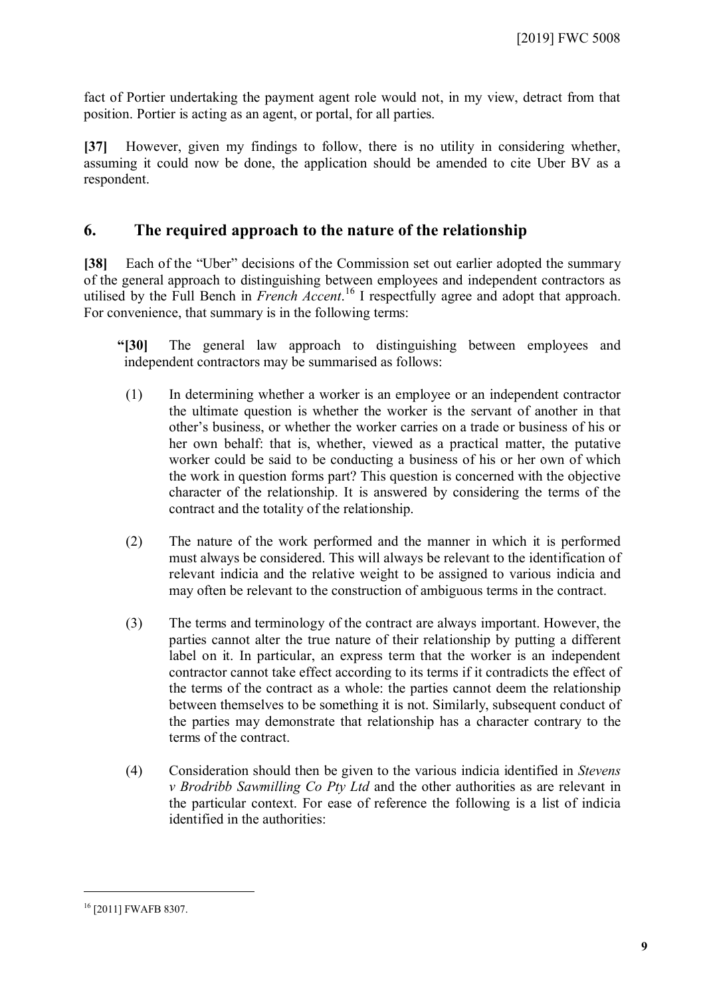fact of Portier undertaking the payment agent role would not, in my view, detract from that position. Portier is acting as an agent, or portal, for all parties.

**[37]** However, given my findings to follow, there is no utility in considering whether, assuming it could now be done, the application should be amended to cite Uber BV as a respondent.

## **6. The required approach to the nature of the relationship**

**[38]** Each of the "Uber" decisions of the Commission set out earlier adopted the summary of the general approach to distinguishing between employees and independent contractors as utilised by the Full Bench in *French Accent*. [16](#page-8-0) I respectfully agree and adopt that approach. For convenience, that summary is in the following terms:

- **"[30]** The general law approach to distinguishing between employees and independent contractors may be summarised as follows:
- (1) In determining whether a worker is an employee or an independent contractor the ultimate question is whether the worker is the servant of another in that other's business, or whether the worker carries on a trade or business of his or her own behalf: that is, whether, viewed as a practical matter, the putative worker could be said to be conducting a business of his or her own of which the work in question forms part? This question is concerned with the objective character of the relationship. It is answered by considering the terms of the contract and the totality of the relationship.
- (2) The nature of the work performed and the manner in which it is performed must always be considered. This will always be relevant to the identification of relevant indicia and the relative weight to be assigned to various indicia and may often be relevant to the construction of ambiguous terms in the contract.
- (3) The terms and terminology of the contract are always important. However, the parties cannot alter the true nature of their relationship by putting a different label on it. In particular, an express term that the worker is an independent contractor cannot take effect according to its terms if it contradicts the effect of the terms of the contract as a whole: the parties cannot deem the relationship between themselves to be something it is not. Similarly, subsequent conduct of the parties may demonstrate that relationship has a character contrary to the terms of the contract.
- (4) Consideration should then be given to the various indicia identified in *Stevens v Brodribb Sawmilling Co Pty Ltd* and the other authorities as are relevant in the particular context. For ease of reference the following is a list of indicia identified in the authorities:

<span id="page-8-0"></span><sup>16</sup> [2011] FWAFB 8307.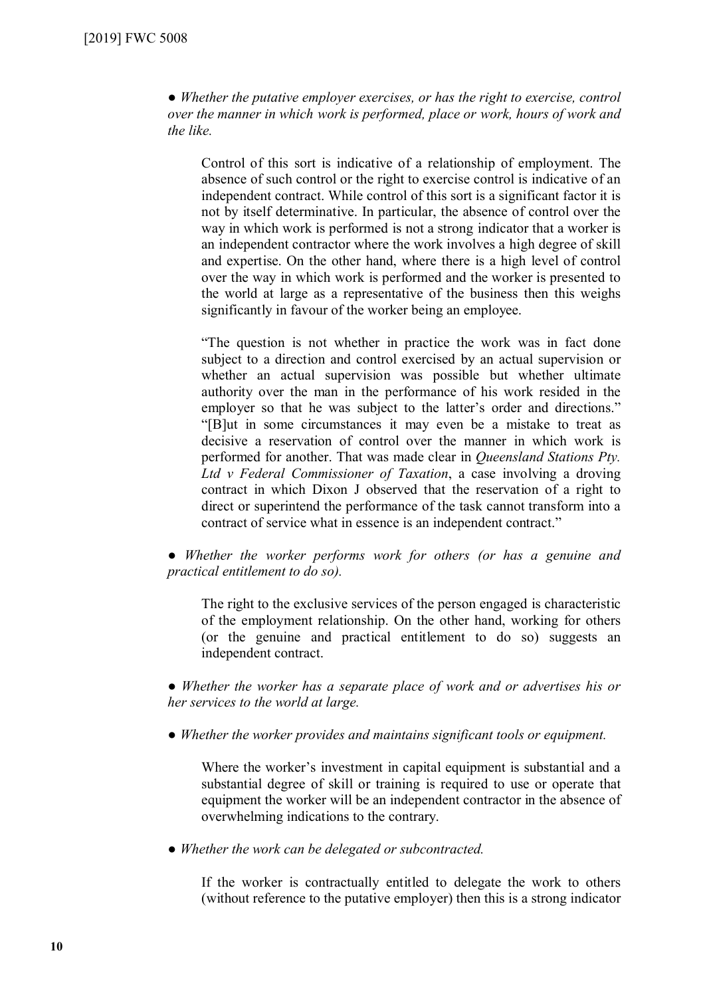● *Whether the putative employer exercises, or has the right to exercise, control over the manner in which work is performed, place or work, hours of work and the like.*

Control of this sort is indicative of a relationship of employment. The absence of such control or the right to exercise control is indicative of an independent contract. While control of this sort is a significant factor it is not by itself determinative. In particular, the absence of control over the way in which work is performed is not a strong indicator that a worker is an independent contractor where the work involves a high degree of skill and expertise. On the other hand, where there is a high level of control over the way in which work is performed and the worker is presented to the world at large as a representative of the business then this weighs significantly in favour of the worker being an employee.

"The question is not whether in practice the work was in fact done subject to a direction and control exercised by an actual supervision or whether an actual supervision was possible but whether ultimate authority over the man in the performance of his work resided in the employer so that he was subject to the latter's order and directions." "[B]ut in some circumstances it may even be a mistake to treat as decisive a reservation of control over the manner in which work is performed for another. That was made clear in *Queensland Stations Pty. Ltd v Federal Commissioner of Taxation*, a case involving a droving contract in which Dixon J observed that the reservation of a right to direct or superintend the performance of the task cannot transform into a contract of service what in essence is an independent contract."

● *Whether the worker performs work for others (or has a genuine and practical entitlement to do so).*

The right to the exclusive services of the person engaged is characteristic of the employment relationship. On the other hand, working for others (or the genuine and practical entitlement to do so) suggests an independent contract.

*● Whether the worker has a separate place of work and or advertises his or her services to the world at large.*

● *Whether the worker provides and maintains significant tools or equipment.*

Where the worker's investment in capital equipment is substantial and a substantial degree of skill or training is required to use or operate that equipment the worker will be an independent contractor in the absence of overwhelming indications to the contrary.

● *Whether the work can be delegated or subcontracted.*

If the worker is contractually entitled to delegate the work to others (without reference to the putative employer) then this is a strong indicator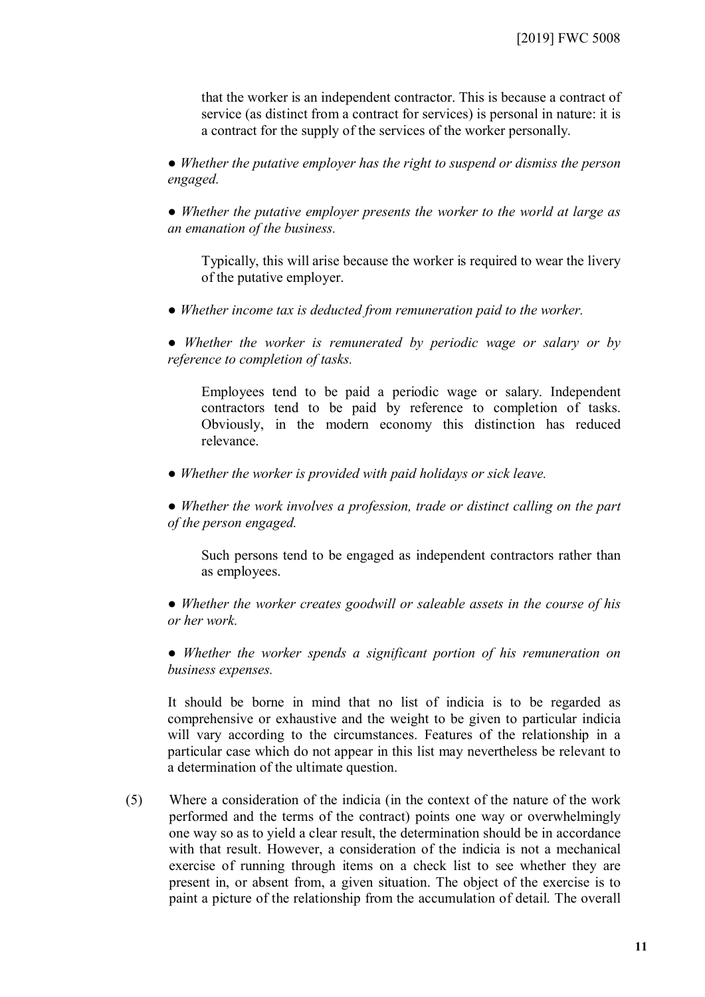that the worker is an independent contractor. This is because a contract of service (as distinct from a contract for services) is personal in nature: it is a contract for the supply of the services of the worker personally.

● *Whether the putative employer has the right to suspend or dismiss the person engaged.* 

● *Whether the putative employer presents the worker to the world at large as an emanation of the business.* 

Typically, this will arise because the worker is required to wear the livery of the putative employer.

● *Whether income tax is deducted from remuneration paid to the worker.*

● *Whether the worker is remunerated by periodic wage or salary or by reference to completion of tasks.*

Employees tend to be paid a periodic wage or salary. Independent contractors tend to be paid by reference to completion of tasks. Obviously, in the modern economy this distinction has reduced relevance.

● *Whether the worker is provided with paid holidays or sick leave.*

● *Whether the work involves a profession, trade or distinct calling on the part of the person engaged.*

Such persons tend to be engaged as independent contractors rather than as employees.

● *Whether the worker creates goodwill or saleable assets in the course of his or her work.*

● *Whether the worker spends a significant portion of his remuneration on business expenses.*

It should be borne in mind that no list of indicia is to be regarded as comprehensive or exhaustive and the weight to be given to particular indicia will vary according to the circumstances. Features of the relationship in a particular case which do not appear in this list may nevertheless be relevant to a determination of the ultimate question.

(5) Where a consideration of the indicia (in the context of the nature of the work performed and the terms of the contract) points one way or overwhelmingly one way so as to yield a clear result, the determination should be in accordance with that result. However, a consideration of the indicia is not a mechanical exercise of running through items on a check list to see whether they are present in, or absent from, a given situation. The object of the exercise is to paint a picture of the relationship from the accumulation of detail. The overall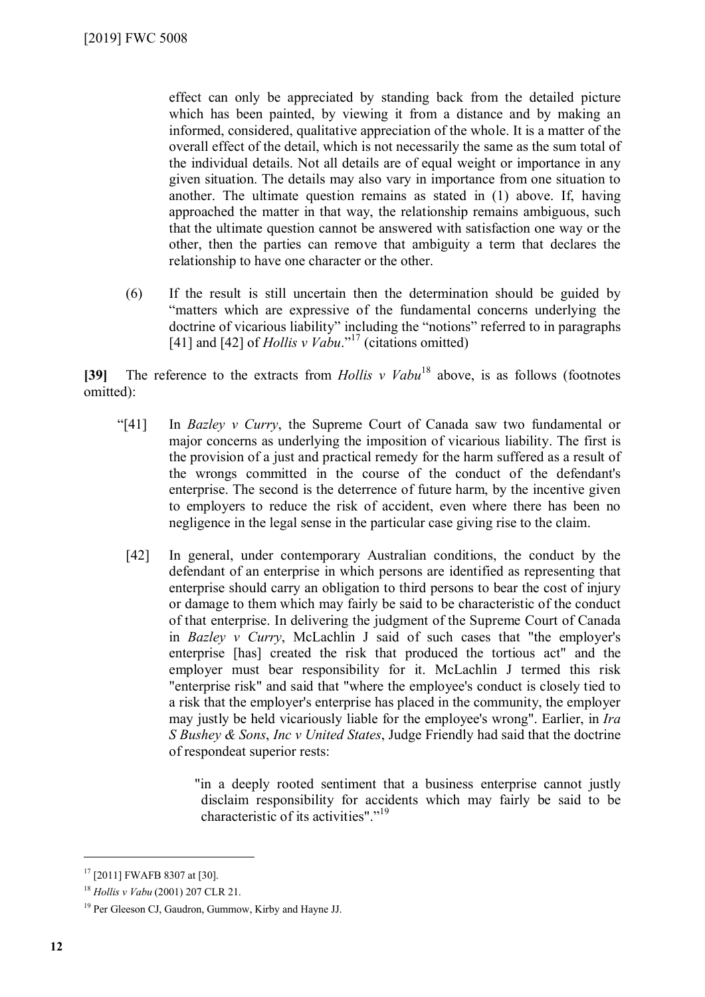effect can only be appreciated by standing back from the detailed picture which has been painted, by viewing it from a distance and by making an informed, considered, qualitative appreciation of the whole. It is a matter of the overall effect of the detail, which is not necessarily the same as the sum total of the individual details. Not all details are of equal weight or importance in any given situation. The details may also vary in importance from one situation to another. The ultimate question remains as stated in (1) above. If, having approached the matter in that way, the relationship remains ambiguous, such that the ultimate question cannot be answered with satisfaction one way or the other, then the parties can remove that ambiguity a term that declares the relationship to have one character or the other.

(6) If the result is still uncertain then the determination should be guided by "matters which are expressive of the fundamental concerns underlying the doctrine of vicarious liability" including the "notions" referred to in paragraphs [41] and [42] of *Hollis v Vabu*."<sup>[17](#page-11-0)</sup> (citations omitted)

**[39]** The reference to the extracts from *Hollis v Vabu*[18](#page-11-1) above, is as follows (footnotes omitted):

- "[41] In *Bazley v Curry*, the Supreme Court of Canada saw two fundamental or major concerns as underlying the imposition of vicarious liability. The first is the provision of a just and practical remedy for the harm suffered as a result of the wrongs committed in the course of the conduct of the defendant's enterprise. The second is the deterrence of future harm, by the incentive given to employers to reduce the risk of accident, even where there has been no negligence in the legal sense in the particular case giving rise to the claim.
	- [42] In general, under contemporary Australian conditions, the conduct by the defendant of an enterprise in which persons are identified as representing that enterprise should carry an obligation to third persons to bear the cost of injury or damage to them which may fairly be said to be characteristic of the conduct of that enterprise. In delivering the judgment of the Supreme Court of Canada in *Bazley v Curry*, McLachlin J said of such cases that "the employer's enterprise [has] created the risk that produced the tortious act" and the employer must bear responsibility for it. McLachlin J termed this risk "enterprise risk" and said that "where the employee's conduct is closely tied to a risk that the employer's enterprise has placed in the community, the employer may justly be held vicariously liable for the employee's wrong". Earlier, in *Ira S Bushey & Sons*, *Inc v United States*, Judge Friendly had said that the doctrine of respondeat superior rests:

"in a deeply rooted sentiment that a business enterprise cannot justly disclaim responsibility for accidents which may fairly be said to be characteristic of its activities"."<sup>[19](#page-11-2)</sup>

<span id="page-11-0"></span><sup>17</sup> [2011] FWAFB 8307 at [30].

<span id="page-11-1"></span><sup>18</sup> *Hollis v Vabu* (2001) 207 CLR 21.

<span id="page-11-2"></span><sup>19</sup> Per Gleeson CJ, Gaudron, Gummow, Kirby and Hayne JJ.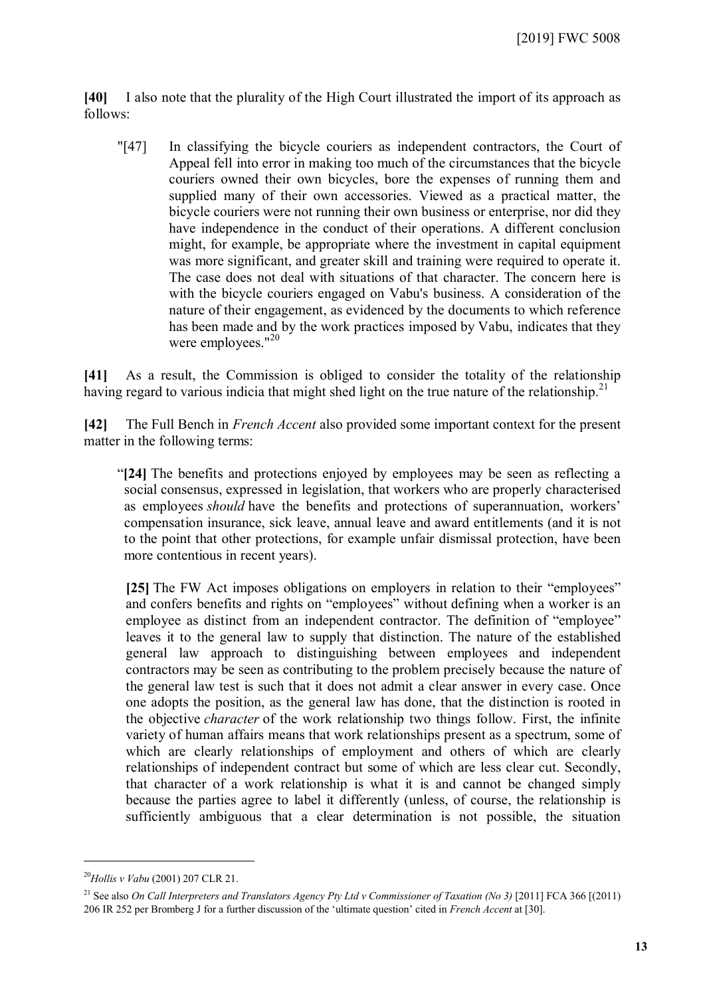**[40]** I also note that the plurality of the High Court illustrated the import of its approach as follows:

"[47] In classifying the bicycle couriers as independent contractors, the Court of Appeal fell into error in making too much of the circumstances that the bicycle couriers owned their own bicycles, bore the expenses of running them and supplied many of their own accessories. Viewed as a practical matter, the bicycle couriers were not running their own business or enterprise, nor did they have independence in the conduct of their operations. A different conclusion might, for example, be appropriate where the investment in capital equipment was more significant, and greater skill and training were required to operate it. The case does not deal with situations of that character. The concern here is with the bicycle couriers engaged on Vabu's business. A consideration of the nature of their engagement, as evidenced by the documents to which reference has been made and by the work practices imposed by Vabu, indicates that they were employees."<sup>[20](#page-12-0)</sup>

**[41]** As a result, the Commission is obliged to consider the totality of the relationship having regard to various indicia that might shed light on the true nature of the relationship.<sup>[21](#page-12-1)</sup>

**[42]** The Full Bench in *French Accent* also provided some important context for the present matter in the following terms:

"**[24]** The benefits and protections enjoyed by employees may be seen as reflecting a social consensus, expressed in legislation, that workers who are properly characterised as employees *should* have the benefits and protections of superannuation, workers' compensation insurance, sick leave, annual leave and award entitlements (and it is not to the point that other protections, for example unfair dismissal protection, have been more contentious in recent years).

**[25]** The FW Act imposes obligations on employers in relation to their "employees" and confers benefits and rights on "employees" without defining when a worker is an employee as distinct from an independent contractor. The definition of "employee" leaves it to the general law to supply that distinction. The nature of the established general law approach to distinguishing between employees and independent contractors may be seen as contributing to the problem precisely because the nature of the general law test is such that it does not admit a clear answer in every case. Once one adopts the position, as the general law has done, that the distinction is rooted in the objective *character* of the work relationship two things follow. First, the infinite variety of human affairs means that work relationships present as a spectrum, some of which are clearly relationships of employment and others of which are clearly relationships of independent contract but some of which are less clear cut. Secondly, that character of a work relationship is what it is and cannot be changed simply because the parties agree to label it differently (unless, of course, the relationship is sufficiently ambiguous that a clear determination is not possible, the situation

<span id="page-12-0"></span><sup>20</sup>*Hollis v Vabu* (2001) 207 CLR 21.

<span id="page-12-1"></span><sup>21</sup> See also *On Call Interpreters and Translators Agency Pty Ltd v Commissioner of Taxation (No 3)* [2011] FCA 366 [(2011) 206 IR 252 per Bromberg J for a further discussion of the 'ultimate question' cited in *French Accent* at [30].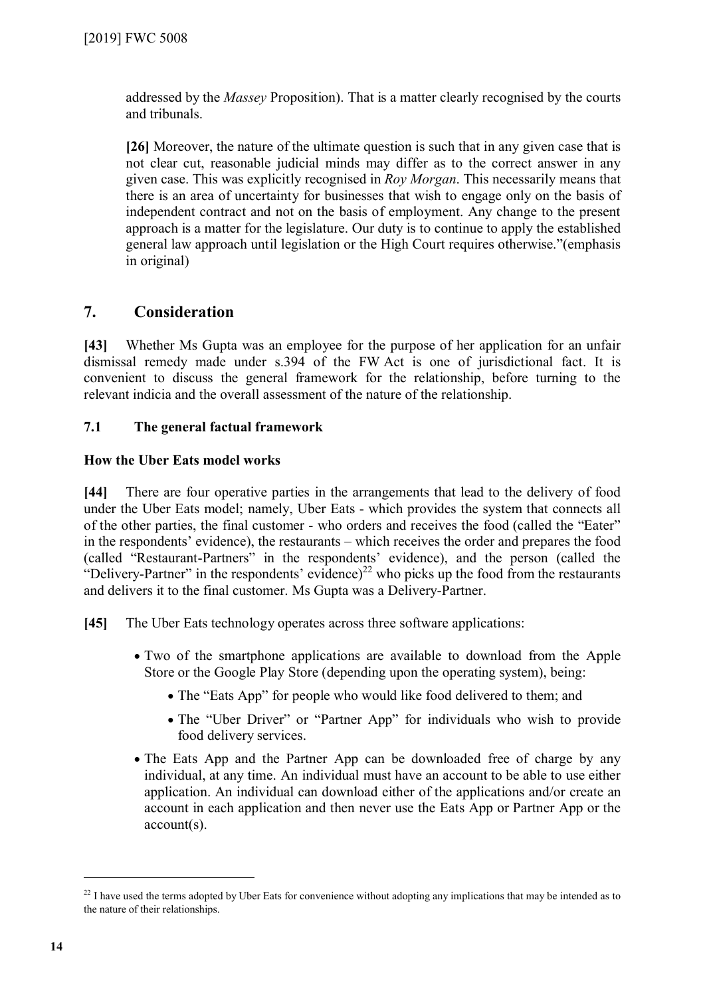addressed by the *Massey* Proposition). That is a matter clearly recognised by the courts and tribunals.

**[26]** Moreover, the nature of the ultimate question is such that in any given case that is not clear cut, reasonable judicial minds may differ as to the correct answer in any given case. This was explicitly recognised in *Roy Morgan*. This necessarily means that there is an area of uncertainty for businesses that wish to engage only on the basis of independent contract and not on the basis of employment. Any change to the present approach is a matter for the legislature. Our duty is to continue to apply the established general law approach until legislation or the High Court requires otherwise."(emphasis in original)

## **7. Consideration**

**[43]** Whether Ms Gupta was an employee for the purpose of her application for an unfair dismissal remedy made under s.394 of the FW Act is one of jurisdictional fact. It is convenient to discuss the general framework for the relationship, before turning to the relevant indicia and the overall assessment of the nature of the relationship.

### **7.1 The general factual framework**

### **How the Uber Eats model works**

**[44]** There are four operative parties in the arrangements that lead to the delivery of food under the Uber Eats model; namely, Uber Eats - which provides the system that connects all of the other parties, the final customer - who orders and receives the food (called the "Eater" in the respondents' evidence), the restaurants – which receives the order and prepares the food (called "Restaurant-Partners" in the respondents' evidence), and the person (called the "Delivery-Partner" in the respondents' evidence)<sup>[22](#page-13-0)</sup> who picks up the food from the restaurants and delivers it to the final customer. Ms Gupta was a Delivery-Partner.

**[45]** The Uber Eats technology operates across three software applications:

- Two of the smartphone applications are available to download from the Apple Store or the Google Play Store (depending upon the operating system), being:
	- The "Eats App" for people who would like food delivered to them; and
	- The "Uber Driver" or "Partner App" for individuals who wish to provide food delivery services.
- The Eats App and the Partner App can be downloaded free of charge by any individual, at any time. An individual must have an account to be able to use either application. An individual can download either of the applications and/or create an account in each application and then never use the Eats App or Partner App or the account(s).

<span id="page-13-0"></span><sup>&</sup>lt;sup>22</sup> I have used the terms adopted by Uber Eats for convenience without adopting any implications that may be intended as to the nature of their relationships.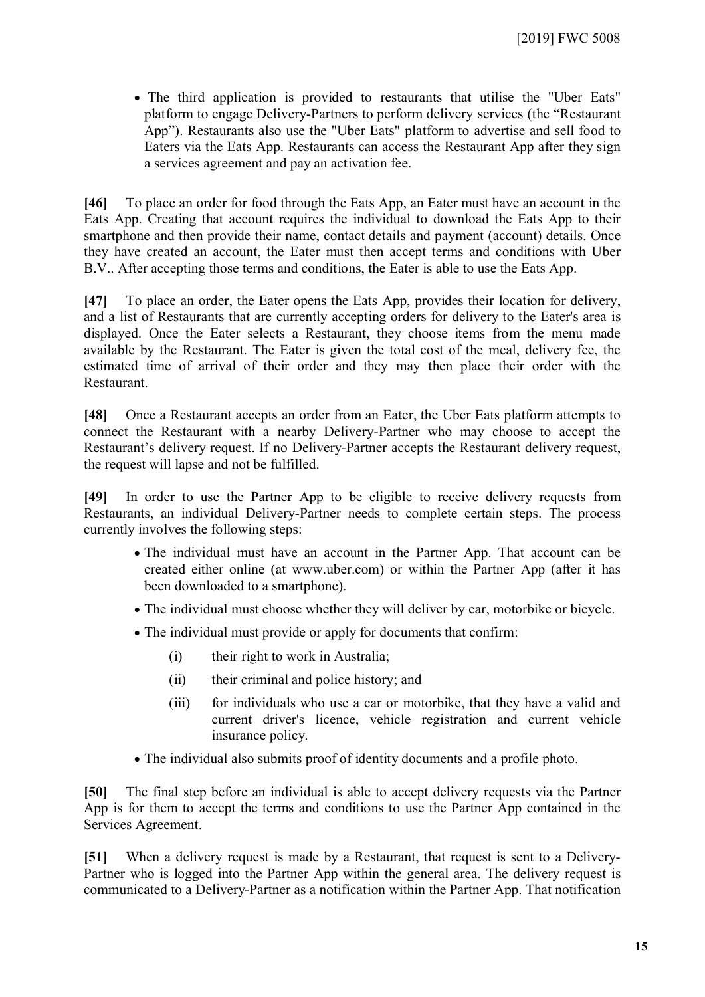The third application is provided to restaurants that utilise the "Uber Eats" platform to engage Delivery-Partners to perform delivery services (the "Restaurant App"). Restaurants also use the "Uber Eats" platform to advertise and sell food to Eaters via the Eats App. Restaurants can access the Restaurant App after they sign a services agreement and pay an activation fee.

**[46]** To place an order for food through the Eats App, an Eater must have an account in the Eats App. Creating that account requires the individual to download the Eats App to their smartphone and then provide their name, contact details and payment (account) details. Once they have created an account, the Eater must then accept terms and conditions with Uber B.V.. After accepting those terms and conditions, the Eater is able to use the Eats App.

**[47]** To place an order, the Eater opens the Eats App, provides their location for delivery, and a list of Restaurants that are currently accepting orders for delivery to the Eater's area is displayed. Once the Eater selects a Restaurant, they choose items from the menu made available by the Restaurant. The Eater is given the total cost of the meal, delivery fee, the estimated time of arrival of their order and they may then place their order with the Restaurant.

**[48]** Once a Restaurant accepts an order from an Eater, the Uber Eats platform attempts to connect the Restaurant with a nearby Delivery-Partner who may choose to accept the Restaurant's delivery request. If no Delivery-Partner accepts the Restaurant delivery request, the request will lapse and not be fulfilled.

**[49]** In order to use the Partner App to be eligible to receive delivery requests from Restaurants, an individual Delivery-Partner needs to complete certain steps. The process currently involves the following steps:

- The individual must have an account in the Partner App. That account can be created either online (at www.uber.com) or within the Partner App (after it has been downloaded to a smartphone).
- The individual must choose whether they will deliver by car, motorbike or bicycle.
- The individual must provide or apply for documents that confirm:
	- (i) their right to work in Australia;
	- (ii) their criminal and police history; and
	- (iii) for individuals who use a car or motorbike, that they have a valid and current driver's licence, vehicle registration and current vehicle insurance policy.
- The individual also submits proof of identity documents and a profile photo.

**[50]** The final step before an individual is able to accept delivery requests via the Partner App is for them to accept the terms and conditions to use the Partner App contained in the Services Agreement.

**[51]** When a delivery request is made by a Restaurant, that request is sent to a Delivery-Partner who is logged into the Partner App within the general area. The delivery request is communicated to a Delivery-Partner as a notification within the Partner App. That notification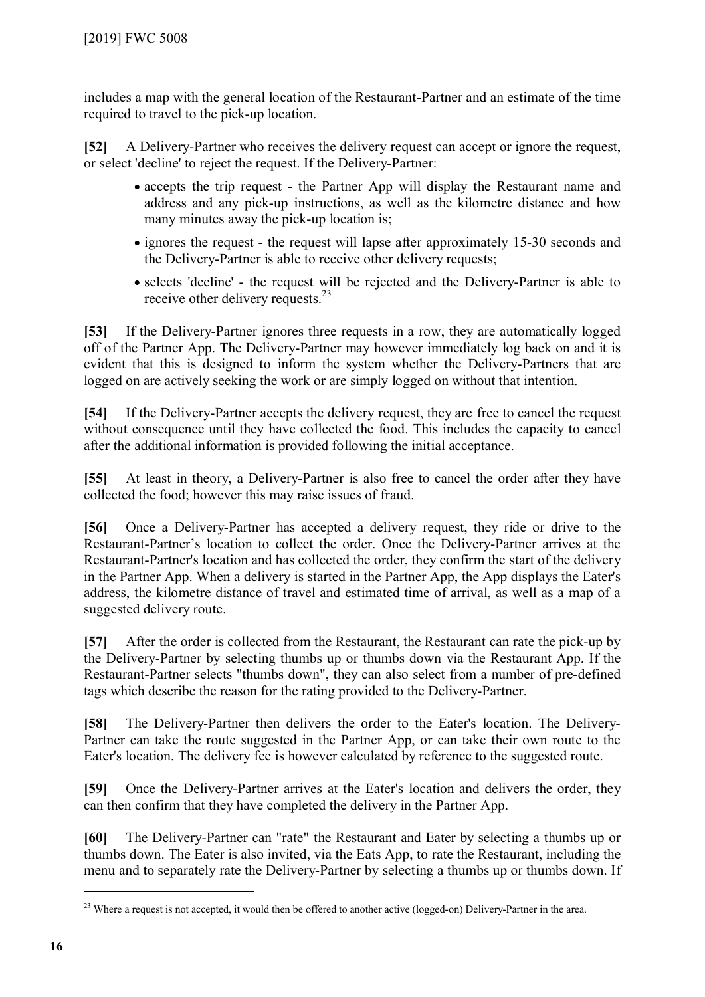includes a map with the general location of the Restaurant-Partner and an estimate of the time required to travel to the pick-up location.

**[52]** A Delivery-Partner who receives the delivery request can accept or ignore the request, or select 'decline' to reject the request. If the Delivery-Partner:

- accepts the trip request the Partner App will display the Restaurant name and address and any pick-up instructions, as well as the kilometre distance and how many minutes away the pick-up location is;
- ignores the request the request will lapse after approximately 15-30 seconds and the Delivery-Partner is able to receive other delivery requests;
- selects 'decline' the request will be rejected and the Delivery-Partner is able to receive other delivery requests.<sup>[23](#page-15-0)</sup>

**[53]** If the Delivery-Partner ignores three requests in a row, they are automatically logged off of the Partner App. The Delivery-Partner may however immediately log back on and it is evident that this is designed to inform the system whether the Delivery-Partners that are logged on are actively seeking the work or are simply logged on without that intention.

**[54]** If the Delivery-Partner accepts the delivery request, they are free to cancel the request without consequence until they have collected the food. This includes the capacity to cancel after the additional information is provided following the initial acceptance.

**[55]** At least in theory, a Delivery-Partner is also free to cancel the order after they have collected the food; however this may raise issues of fraud.

**[56]** Once a Delivery-Partner has accepted a delivery request, they ride or drive to the Restaurant-Partner's location to collect the order. Once the Delivery-Partner arrives at the Restaurant-Partner's location and has collected the order, they confirm the start of the delivery in the Partner App. When a delivery is started in the Partner App, the App displays the Eater's address, the kilometre distance of travel and estimated time of arrival, as well as a map of a suggested delivery route.

**[57]** After the order is collected from the Restaurant, the Restaurant can rate the pick-up by the Delivery-Partner by selecting thumbs up or thumbs down via the Restaurant App. If the Restaurant-Partner selects "thumbs down", they can also select from a number of pre-defined tags which describe the reason for the rating provided to the Delivery-Partner.

**[58]** The Delivery-Partner then delivers the order to the Eater's location. The Delivery-Partner can take the route suggested in the Partner App, or can take their own route to the Eater's location. The delivery fee is however calculated by reference to the suggested route.

**[59]** Once the Delivery-Partner arrives at the Eater's location and delivers the order, they can then confirm that they have completed the delivery in the Partner App.

**[60]** The Delivery-Partner can "rate" the Restaurant and Eater by selecting a thumbs up or thumbs down. The Eater is also invited, via the Eats App, to rate the Restaurant, including the menu and to separately rate the Delivery-Partner by selecting a thumbs up or thumbs down. If

<span id="page-15-0"></span><sup>&</sup>lt;sup>23</sup> Where a request is not accepted, it would then be offered to another active (logged-on) Delivery-Partner in the area.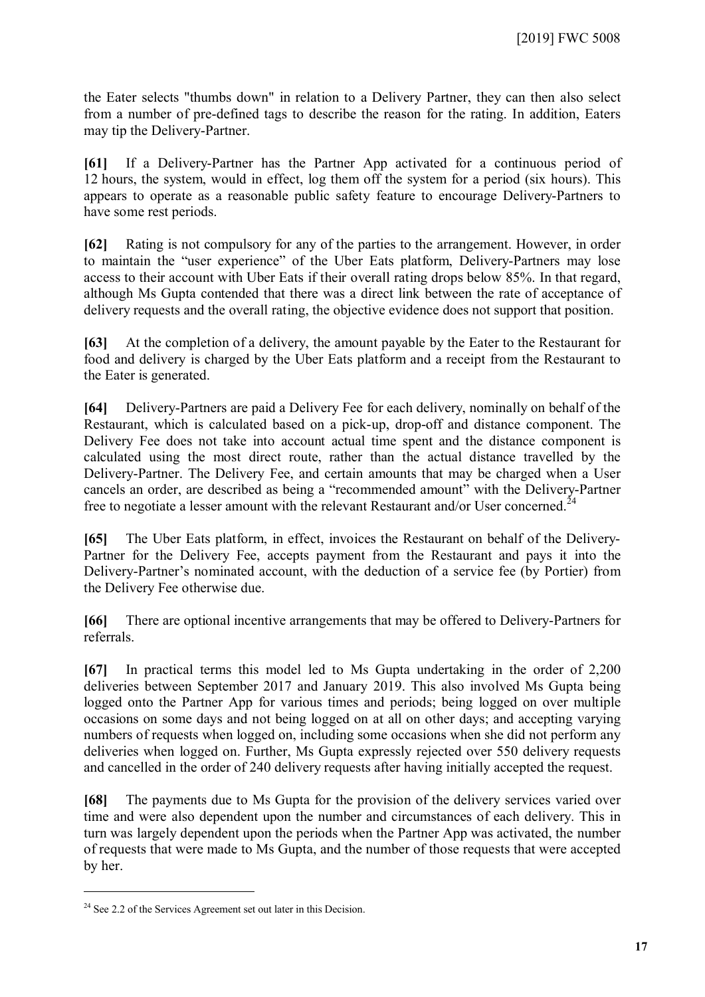the Eater selects "thumbs down" in relation to a Delivery Partner, they can then also select from a number of pre-defined tags to describe the reason for the rating. In addition, Eaters may tip the Delivery-Partner.

**[61]** If a Delivery-Partner has the Partner App activated for a continuous period of 12 hours, the system, would in effect, log them off the system for a period (six hours). This appears to operate as a reasonable public safety feature to encourage Delivery-Partners to have some rest periods.

**[62]** Rating is not compulsory for any of the parties to the arrangement. However, in order to maintain the "user experience" of the Uber Eats platform, Delivery-Partners may lose access to their account with Uber Eats if their overall rating drops below 85%. In that regard, although Ms Gupta contended that there was a direct link between the rate of acceptance of delivery requests and the overall rating, the objective evidence does not support that position.

**[63]** At the completion of a delivery, the amount payable by the Eater to the Restaurant for food and delivery is charged by the Uber Eats platform and a receipt from the Restaurant to the Eater is generated.

**[64]** Delivery-Partners are paid a Delivery Fee for each delivery, nominally on behalf of the Restaurant, which is calculated based on a pick-up, drop-off and distance component. The Delivery Fee does not take into account actual time spent and the distance component is calculated using the most direct route, rather than the actual distance travelled by the Delivery-Partner. The Delivery Fee, and certain amounts that may be charged when a User cancels an order, are described as being a "recommended amount" with the Delivery-Partner free to negotiate a lesser amount with the relevant Restaurant and/or User concerned.<sup>[24](#page-16-0)</sup>

**[65]** The Uber Eats platform, in effect, invoices the Restaurant on behalf of the Delivery-Partner for the Delivery Fee, accepts payment from the Restaurant and pays it into the Delivery-Partner's nominated account, with the deduction of a service fee (by Portier) from the Delivery Fee otherwise due.

**[66]** There are optional incentive arrangements that may be offered to Delivery-Partners for referrals.

**[67]** In practical terms this model led to Ms Gupta undertaking in the order of 2,200 deliveries between September 2017 and January 2019. This also involved Ms Gupta being logged onto the Partner App for various times and periods; being logged on over multiple occasions on some days and not being logged on at all on other days; and accepting varying numbers of requests when logged on, including some occasions when she did not perform any deliveries when logged on. Further, Ms Gupta expressly rejected over 550 delivery requests and cancelled in the order of 240 delivery requests after having initially accepted the request.

**[68]** The payments due to Ms Gupta for the provision of the delivery services varied over time and were also dependent upon the number and circumstances of each delivery. This in turn was largely dependent upon the periods when the Partner App was activated, the number of requests that were made to Ms Gupta, and the number of those requests that were accepted by her.

<span id="page-16-0"></span> $24$  See 2.2 of the Services Agreement set out later in this Decision.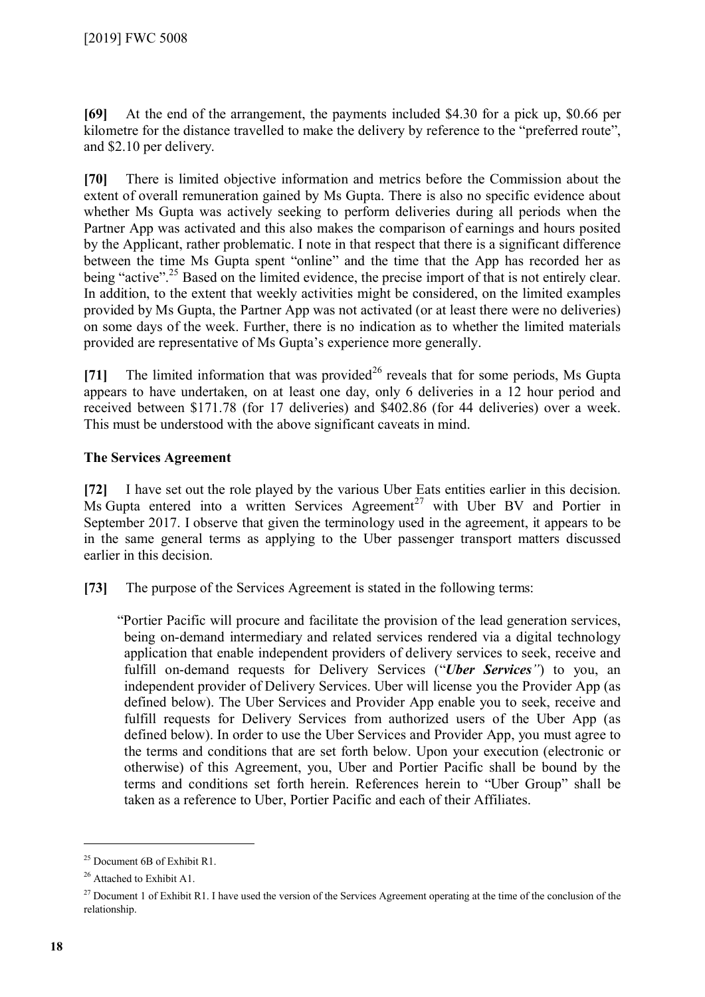**[69]** At the end of the arrangement, the payments included \$4.30 for a pick up, \$0.66 per kilometre for the distance travelled to make the delivery by reference to the "preferred route", and \$2.10 per delivery.

**[70]** There is limited objective information and metrics before the Commission about the extent of overall remuneration gained by Ms Gupta. There is also no specific evidence about whether Ms Gupta was actively seeking to perform deliveries during all periods when the Partner App was activated and this also makes the comparison of earnings and hours posited by the Applicant, rather problematic. I note in that respect that there is a significant difference between the time Ms Gupta spent "online" and the time that the App has recorded her as being "active".<sup>[25](#page-17-0)</sup> Based on the limited evidence, the precise import of that is not entirely clear. In addition, to the extent that weekly activities might be considered, on the limited examples provided by Ms Gupta, the Partner App was not activated (or at least there were no deliveries) on some days of the week. Further, there is no indication as to whether the limited materials provided are representative of Ms Gupta's experience more generally.

**[71]** The limited information that was provided<sup>[26](#page-17-1)</sup> reveals that for some periods, Ms Gupta appears to have undertaken, on at least one day, only 6 deliveries in a 12 hour period and received between \$171.78 (for 17 deliveries) and \$402.86 (for 44 deliveries) over a week. This must be understood with the above significant caveats in mind.

### **The Services Agreement**

**[72]** I have set out the role played by the various Uber Eats entities earlier in this decision. Ms Gupta entered into a written Services Agreement<sup>[27](#page-17-2)</sup> with Uber BV and Portier in September 2017. I observe that given the terminology used in the agreement, it appears to be in the same general terms as applying to the Uber passenger transport matters discussed earlier in this decision.

**[73]** The purpose of the Services Agreement is stated in the following terms:

"Portier Pacific will procure and facilitate the provision of the lead generation services, being on-demand intermediary and related services rendered via a digital technology application that enable independent providers of delivery services to seek, receive and fulfill on-demand requests for Delivery Services ("*Uber Services"*) to you, an independent provider of Delivery Services. Uber will license you the Provider App (as defined below). The Uber Services and Provider App enable you to seek, receive and fulfill requests for Delivery Services from authorized users of the Uber App (as defined below). In order to use the Uber Services and Provider App, you must agree to the terms and conditions that are set forth below. Upon your execution (electronic or otherwise) of this Agreement, you, Uber and Portier Pacific shall be bound by the terms and conditions set forth herein. References herein to "Uber Group" shall be taken as a reference to Uber, Portier Pacific and each of their Affiliates.

<span id="page-17-0"></span><sup>25</sup> Document 6B of Exhibit R1.

<span id="page-17-1"></span><sup>&</sup>lt;sup>26</sup> Attached to Exhibit A1.

<span id="page-17-2"></span><sup>&</sup>lt;sup>27</sup> Document 1 of Exhibit R1. I have used the version of the Services Agreement operating at the time of the conclusion of the relationship.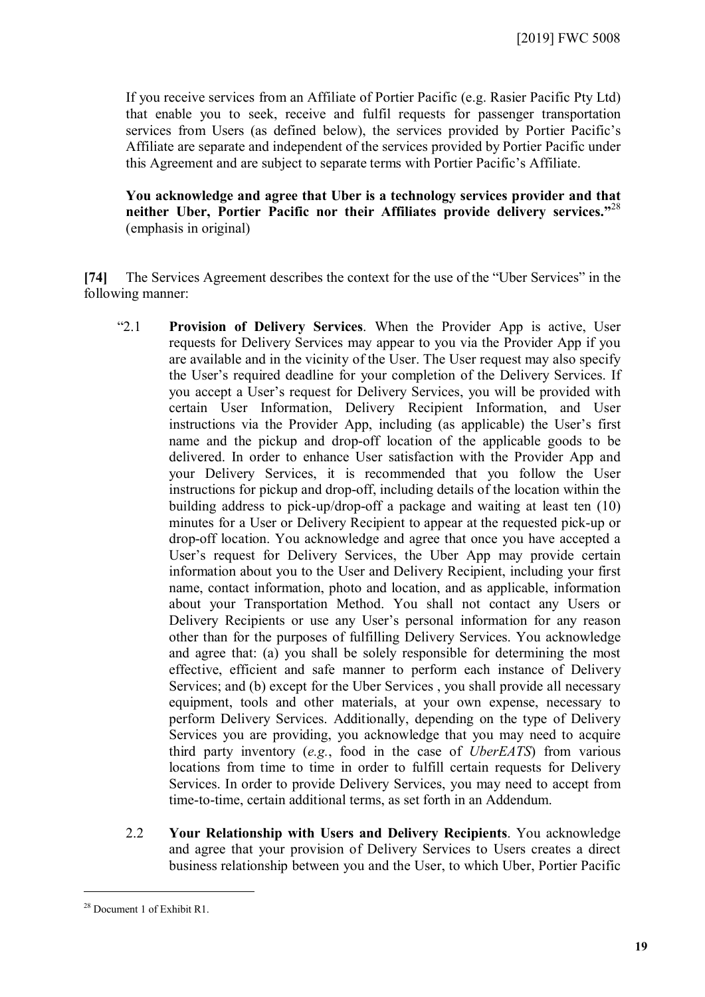If you receive services from an Affiliate of Portier Pacific (e.g. Rasier Pacific Pty Ltd) that enable you to seek, receive and fulfil requests for passenger transportation services from Users (as defined below), the services provided by Portier Pacific's Affiliate are separate and independent of the services provided by Portier Pacific under this Agreement and are subject to separate terms with Portier Pacific's Affiliate.

**You acknowledge and agree that Uber is a technology services provider and that neither Uber, Portier Pacific nor their Affiliates provide delivery services."** [28](#page-18-0) (emphasis in original)

**[74]** The Services Agreement describes the context for the use of the "Uber Services" in the following manner:

- "2.1 **Provision of Delivery Services**. When the Provider App is active, User requests for Delivery Services may appear to you via the Provider App if you are available and in the vicinity of the User. The User request may also specify the User's required deadline for your completion of the Delivery Services. If you accept a User's request for Delivery Services, you will be provided with certain User Information, Delivery Recipient Information, and User instructions via the Provider App, including (as applicable) the User's first name and the pickup and drop-off location of the applicable goods to be delivered. In order to enhance User satisfaction with the Provider App and your Delivery Services, it is recommended that you follow the User instructions for pickup and drop-off, including details of the location within the building address to pick-up/drop-off a package and waiting at least ten (10) minutes for a User or Delivery Recipient to appear at the requested pick-up or drop-off location. You acknowledge and agree that once you have accepted a User's request for Delivery Services, the Uber App may provide certain information about you to the User and Delivery Recipient, including your first name, contact information, photo and location, and as applicable, information about your Transportation Method. You shall not contact any Users or Delivery Recipients or use any User's personal information for any reason other than for the purposes of fulfilling Delivery Services. You acknowledge and agree that: (a) you shall be solely responsible for determining the most effective, efficient and safe manner to perform each instance of Delivery Services; and (b) except for the Uber Services , you shall provide all necessary equipment, tools and other materials, at your own expense, necessary to perform Delivery Services. Additionally, depending on the type of Delivery Services you are providing, you acknowledge that you may need to acquire third party inventory (*e.g.*, food in the case of *UberEATS*) from various locations from time to time in order to fulfill certain requests for Delivery Services. In order to provide Delivery Services, you may need to accept from time-to-time, certain additional terms, as set forth in an Addendum.
	- 2.2 **Your Relationship with Users and Delivery Recipients**. You acknowledge and agree that your provision of Delivery Services to Users creates a direct business relationship between you and the User, to which Uber, Portier Pacific

<span id="page-18-0"></span><sup>28</sup> Document 1 of Exhibit R1.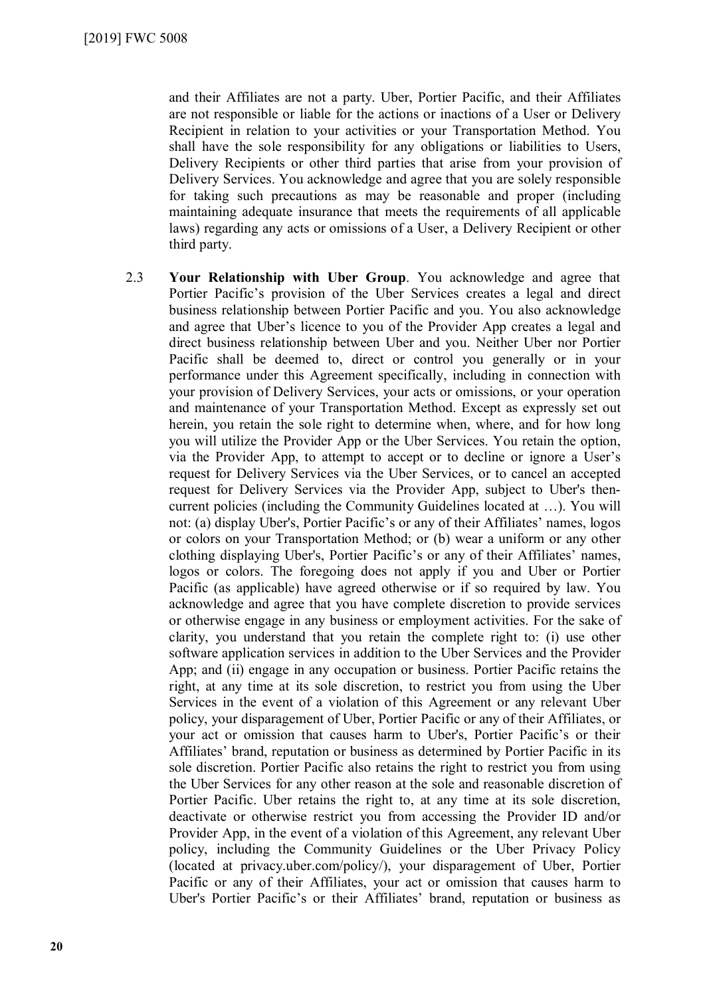and their Affiliates are not a party. Uber, Portier Pacific, and their Affiliates are not responsible or liable for the actions or inactions of a User or Delivery Recipient in relation to your activities or your Transportation Method. You shall have the sole responsibility for any obligations or liabilities to Users, Delivery Recipients or other third parties that arise from your provision of Delivery Services. You acknowledge and agree that you are solely responsible for taking such precautions as may be reasonable and proper (including maintaining adequate insurance that meets the requirements of all applicable laws) regarding any acts or omissions of a User, a Delivery Recipient or other third party.

2.3 **Your Relationship with Uber Group**. You acknowledge and agree that Portier Pacific's provision of the Uber Services creates a legal and direct business relationship between Portier Pacific and you. You also acknowledge and agree that Uber's licence to you of the Provider App creates a legal and direct business relationship between Uber and you. Neither Uber nor Portier Pacific shall be deemed to, direct or control you generally or in your performance under this Agreement specifically, including in connection with your provision of Delivery Services, your acts or omissions, or your operation and maintenance of your Transportation Method. Except as expressly set out herein, you retain the sole right to determine when, where, and for how long you will utilize the Provider App or the Uber Services. You retain the option, via the Provider App, to attempt to accept or to decline or ignore a User's request for Delivery Services via the Uber Services, or to cancel an accepted request for Delivery Services via the Provider App, subject to Uber's thencurrent policies (including the Community Guidelines located at …). You will not: (a) display Uber's, Portier Pacific's or any of their Affiliates' names, logos or colors on your Transportation Method; or (b) wear a uniform or any other clothing displaying Uber's, Portier Pacific's or any of their Affiliates' names, logos or colors. The foregoing does not apply if you and Uber or Portier Pacific (as applicable) have agreed otherwise or if so required by law. You acknowledge and agree that you have complete discretion to provide services or otherwise engage in any business or employment activities. For the sake of clarity, you understand that you retain the complete right to: (i) use other software application services in addition to the Uber Services and the Provider App; and (ii) engage in any occupation or business. Portier Pacific retains the right, at any time at its sole discretion, to restrict you from using the Uber Services in the event of a violation of this Agreement or any relevant Uber policy, your disparagement of Uber, Portier Pacific or any of their Affiliates, or your act or omission that causes harm to Uber's, Portier Pacific's or their Affiliates' brand, reputation or business as determined by Portier Pacific in its sole discretion. Portier Pacific also retains the right to restrict you from using the Uber Services for any other reason at the sole and reasonable discretion of Portier Pacific. Uber retains the right to, at any time at its sole discretion, deactivate or otherwise restrict you from accessing the Provider ID and/or Provider App, in the event of a violation of this Agreement, any relevant Uber policy, including the Community Guidelines or the Uber Privacy Policy (located at privacy.uber.com/policy/), your disparagement of Uber, Portier Pacific or any of their Affiliates, your act or omission that causes harm to Uber's Portier Pacific's or their Affiliates' brand, reputation or business as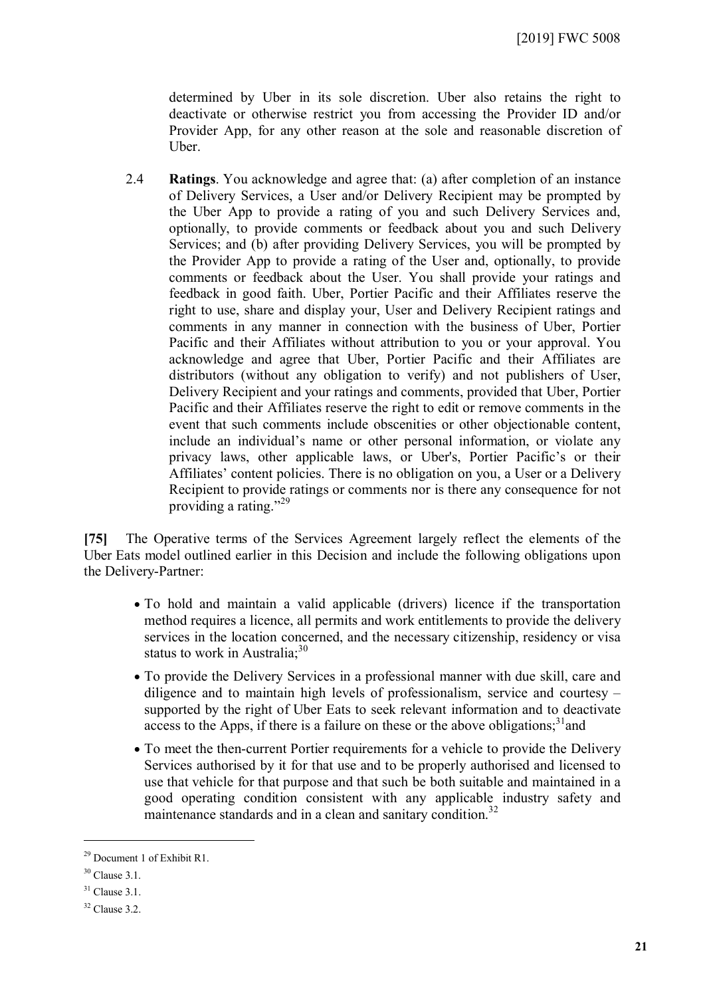determined by Uber in its sole discretion. Uber also retains the right to deactivate or otherwise restrict you from accessing the Provider ID and/or Provider App, for any other reason at the sole and reasonable discretion of Uber.

2.4 **Ratings**. You acknowledge and agree that: (a) after completion of an instance of Delivery Services, a User and/or Delivery Recipient may be prompted by the Uber App to provide a rating of you and such Delivery Services and, optionally, to provide comments or feedback about you and such Delivery Services; and (b) after providing Delivery Services, you will be prompted by the Provider App to provide a rating of the User and, optionally, to provide comments or feedback about the User. You shall provide your ratings and feedback in good faith. Uber, Portier Pacific and their Affiliates reserve the right to use, share and display your, User and Delivery Recipient ratings and comments in any manner in connection with the business of Uber, Portier Pacific and their Affiliates without attribution to you or your approval. You acknowledge and agree that Uber, Portier Pacific and their Affiliates are distributors (without any obligation to verify) and not publishers of User, Delivery Recipient and your ratings and comments, provided that Uber, Portier Pacific and their Affiliates reserve the right to edit or remove comments in the event that such comments include obscenities or other objectionable content, include an individual's name or other personal information, or violate any privacy laws, other applicable laws, or Uber's, Portier Pacific's or their Affiliates' content policies. There is no obligation on you, a User or a Delivery Recipient to provide ratings or comments nor is there any consequence for not providing a rating."<sup>[29](#page-20-0)</sup>

**[75]** The Operative terms of the Services Agreement largely reflect the elements of the Uber Eats model outlined earlier in this Decision and include the following obligations upon the Delivery-Partner:

- To hold and maintain a valid applicable (drivers) licence if the transportation method requires a licence, all permits and work entitlements to provide the delivery services in the location concerned, and the necessary citizenship, residency or visa status to work in Australia; $30<sup>30</sup>$  $30<sup>30</sup>$
- To provide the Delivery Services in a professional manner with due skill, care and diligence and to maintain high levels of professionalism, service and courtesy – supported by the right of Uber Eats to seek relevant information and to deactivate access to the Apps, if there is a failure on these or the above obligations; $31$  and
- To meet the then-current Portier requirements for a vehicle to provide the Delivery Services authorised by it for that use and to be properly authorised and licensed to use that vehicle for that purpose and that such be both suitable and maintained in a good operating condition consistent with any applicable industry safety and maintenance standards and in a clean and sanitary condition.<sup>[32](#page-20-3)</sup>

<span id="page-20-0"></span><sup>&</sup>lt;sup>29</sup> Document 1 of Exhibit R1.

<span id="page-20-1"></span> $30$  Clause 3.1.

<span id="page-20-2"></span> $31$  Clause 3.1.

<span id="page-20-3"></span> $32$  Clause 3.2.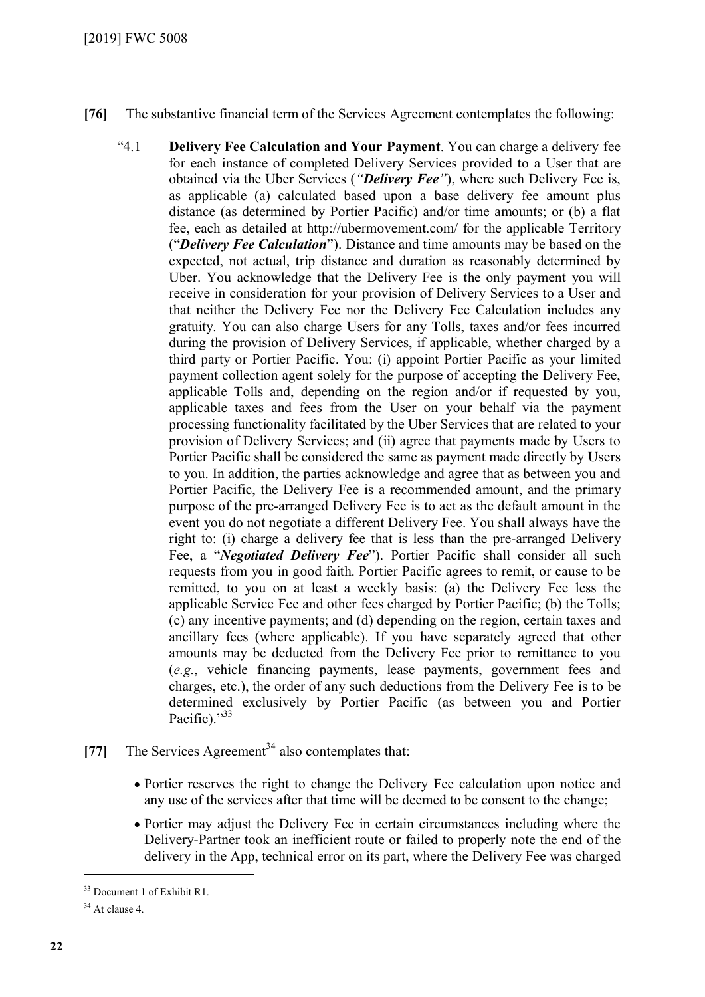- **[76]** The substantive financial term of the Services Agreement contemplates the following:
	- "4.1 **Delivery Fee Calculation and Your Payment**. You can charge a delivery fee for each instance of completed Delivery Services provided to a User that are obtained via the Uber Services (*"Delivery Fee"*), where such Delivery Fee is, as applicable (a) calculated based upon a base delivery fee amount plus distance (as determined by Portier Pacific) and/or time amounts; or (b) a flat fee, each as detailed at http://ubermovement.com/ for the applicable Territory ("*Delivery Fee Calculation*"). Distance and time amounts may be based on the expected, not actual, trip distance and duration as reasonably determined by Uber. You acknowledge that the Delivery Fee is the only payment you will receive in consideration for your provision of Delivery Services to a User and that neither the Delivery Fee nor the Delivery Fee Calculation includes any gratuity. You can also charge Users for any Tolls, taxes and/or fees incurred during the provision of Delivery Services, if applicable, whether charged by a third party or Portier Pacific. You: (i) appoint Portier Pacific as your limited payment collection agent solely for the purpose of accepting the Delivery Fee, applicable Tolls and, depending on the region and/or if requested by you, applicable taxes and fees from the User on your behalf via the payment processing functionality facilitated by the Uber Services that are related to your provision of Delivery Services; and (ii) agree that payments made by Users to Portier Pacific shall be considered the same as payment made directly by Users to you. In addition, the parties acknowledge and agree that as between you and Portier Pacific, the Delivery Fee is a recommended amount, and the primary purpose of the pre-arranged Delivery Fee is to act as the default amount in the event you do not negotiate a different Delivery Fee. You shall always have the right to: (i) charge a delivery fee that is less than the pre-arranged Delivery Fee, a "*Negotiated Delivery Fee*"). Portier Pacific shall consider all such requests from you in good faith. Portier Pacific agrees to remit, or cause to be remitted, to you on at least a weekly basis: (a) the Delivery Fee less the applicable Service Fee and other fees charged by Portier Pacific; (b) the Tolls; (c) any incentive payments; and (d) depending on the region, certain taxes and ancillary fees (where applicable). If you have separately agreed that other amounts may be deducted from the Delivery Fee prior to remittance to you (*e.g.*, vehicle financing payments, lease payments, government fees and charges, etc.), the order of any such deductions from the Delivery Fee is to be determined exclusively by Portier Pacific (as between you and Portier Pacific)."<sup>[33](#page-21-0)</sup>
- [77] The Services Agreement<sup>[34](#page-21-1)</sup> also contemplates that:
	- Portier reserves the right to change the Delivery Fee calculation upon notice and any use of the services after that time will be deemed to be consent to the change;
	- Portier may adjust the Delivery Fee in certain circumstances including where the Delivery-Partner took an inefficient route or failed to properly note the end of the delivery in the App, technical error on its part, where the Delivery Fee was charged

<span id="page-21-1"></span><span id="page-21-0"></span><sup>33</sup> Document 1 of Exhibit R1.

 $34$  At clause 4.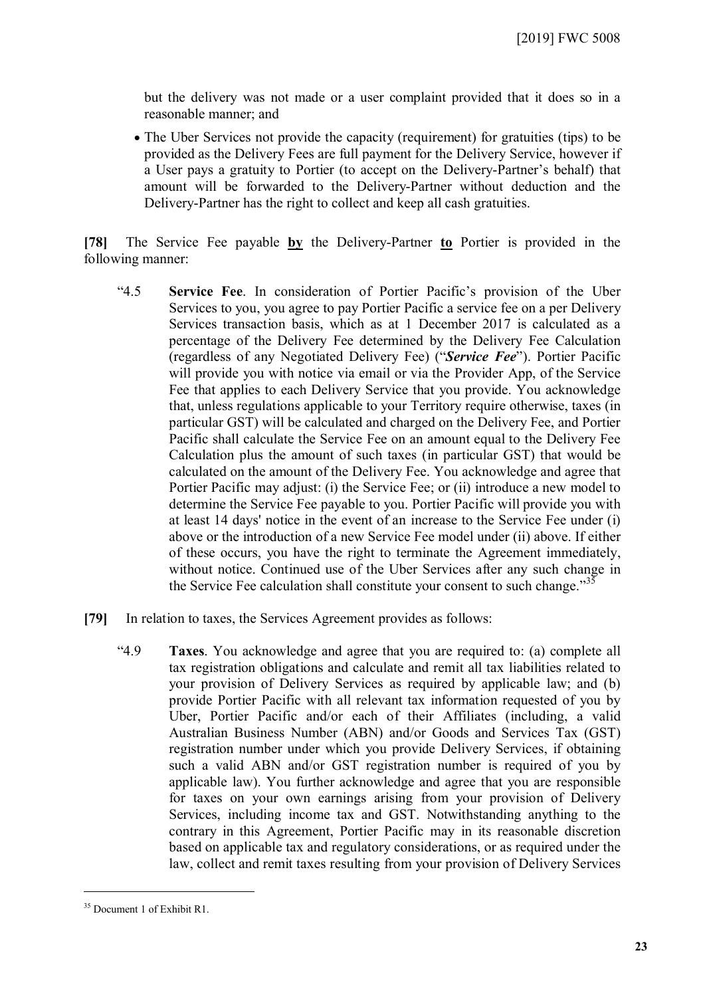but the delivery was not made or a user complaint provided that it does so in a reasonable manner; and

 The Uber Services not provide the capacity (requirement) for gratuities (tips) to be provided as the Delivery Fees are full payment for the Delivery Service, however if a User pays a gratuity to Portier (to accept on the Delivery-Partner's behalf) that amount will be forwarded to the Delivery-Partner without deduction and the Delivery-Partner has the right to collect and keep all cash gratuities.

**[78]** The Service Fee payable **by** the Delivery-Partner **to** Portier is provided in the following manner:

- "4.5 **Service Fee**. In consideration of Portier Pacific's provision of the Uber Services to you, you agree to pay Portier Pacific a service fee on a per Delivery Services transaction basis, which as at 1 December 2017 is calculated as a percentage of the Delivery Fee determined by the Delivery Fee Calculation (regardless of any Negotiated Delivery Fee) ("*Service Fee*"). Portier Pacific will provide you with notice via email or via the Provider App, of the Service Fee that applies to each Delivery Service that you provide. You acknowledge that, unless regulations applicable to your Territory require otherwise, taxes (in particular GST) will be calculated and charged on the Delivery Fee, and Portier Pacific shall calculate the Service Fee on an amount equal to the Delivery Fee Calculation plus the amount of such taxes (in particular GST) that would be calculated on the amount of the Delivery Fee. You acknowledge and agree that Portier Pacific may adjust: (i) the Service Fee; or (ii) introduce a new model to determine the Service Fee payable to you. Portier Pacific will provide you with at least 14 days' notice in the event of an increase to the Service Fee under (i) above or the introduction of a new Service Fee model under (ii) above. If either of these occurs, you have the right to terminate the Agreement immediately, without notice. Continued use of the Uber Services after any such change in the Service Fee calculation shall constitute your consent to such change."<sup>[35](#page-22-0)</sup>
- **[79]** In relation to taxes, the Services Agreement provides as follows:
	- "4.9 **Taxes**. You acknowledge and agree that you are required to: (a) complete all tax registration obligations and calculate and remit all tax liabilities related to your provision of Delivery Services as required by applicable law; and (b) provide Portier Pacific with all relevant tax information requested of you by Uber, Portier Pacific and/or each of their Affiliates (including, a valid Australian Business Number (ABN) and/or Goods and Services Tax (GST) registration number under which you provide Delivery Services, if obtaining such a valid ABN and/or GST registration number is required of you by applicable law). You further acknowledge and agree that you are responsible for taxes on your own earnings arising from your provision of Delivery Services, including income tax and GST. Notwithstanding anything to the contrary in this Agreement, Portier Pacific may in its reasonable discretion based on applicable tax and regulatory considerations, or as required under the law, collect and remit taxes resulting from your provision of Delivery Services

<span id="page-22-0"></span><sup>35</sup> Document 1 of Exhibit R1.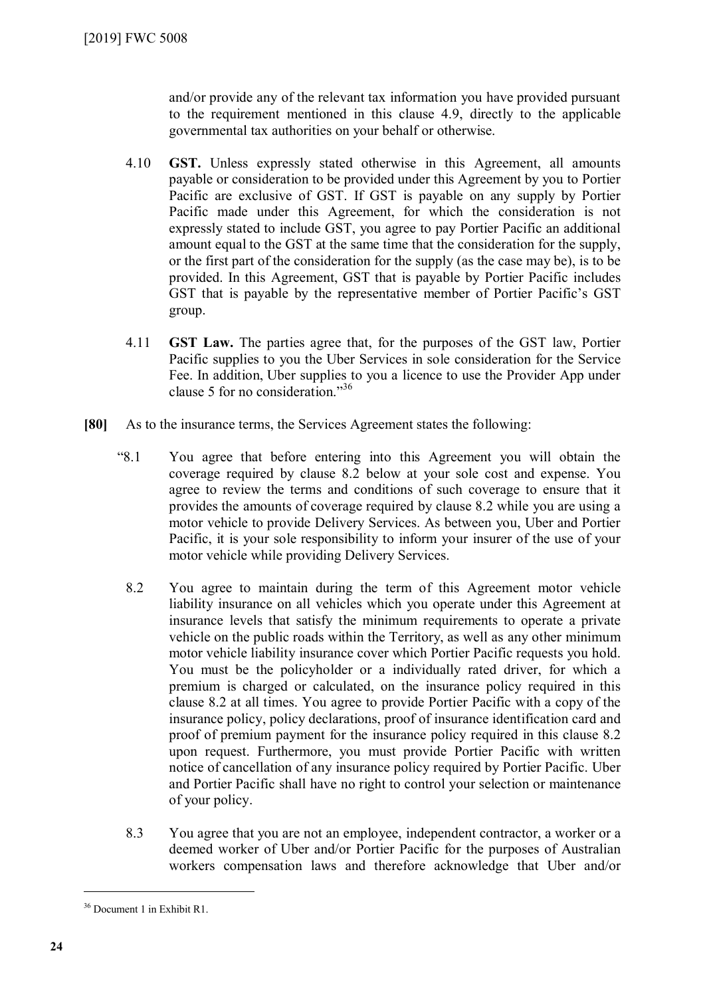and/or provide any of the relevant tax information you have provided pursuant to the requirement mentioned in this clause 4.9, directly to the applicable governmental tax authorities on your behalf or otherwise.

- 4.10 **GST.** Unless expressly stated otherwise in this Agreement, all amounts payable or consideration to be provided under this Agreement by you to Portier Pacific are exclusive of GST. If GST is payable on any supply by Portier Pacific made under this Agreement, for which the consideration is not expressly stated to include GST, you agree to pay Portier Pacific an additional amount equal to the GST at the same time that the consideration for the supply, or the first part of the consideration for the supply (as the case may be), is to be provided. In this Agreement, GST that is payable by Portier Pacific includes GST that is payable by the representative member of Portier Pacific's GST group.
- 4.11 **GST Law.** The parties agree that, for the purposes of the GST law, Portier Pacific supplies to you the Uber Services in sole consideration for the Service Fee. In addition, Uber supplies to you a licence to use the Provider App under clause 5 for no consideration." [36](#page-23-0)
- **[80]** As to the insurance terms, the Services Agreement states the following:
	- "8.1 You agree that before entering into this Agreement you will obtain the coverage required by clause 8.2 below at your sole cost and expense. You agree to review the terms and conditions of such coverage to ensure that it provides the amounts of coverage required by clause 8.2 while you are using a motor vehicle to provide Delivery Services. As between you, Uber and Portier Pacific, it is your sole responsibility to inform your insurer of the use of your motor vehicle while providing Delivery Services.
		- 8.2 You agree to maintain during the term of this Agreement motor vehicle liability insurance on all vehicles which you operate under this Agreement at insurance levels that satisfy the minimum requirements to operate a private vehicle on the public roads within the Territory, as well as any other minimum motor vehicle liability insurance cover which Portier Pacific requests you hold. You must be the policyholder or a individually rated driver, for which a premium is charged or calculated, on the insurance policy required in this clause 8.2 at all times. You agree to provide Portier Pacific with a copy of the insurance policy, policy declarations, proof of insurance identification card and proof of premium payment for the insurance policy required in this clause 8.2 upon request. Furthermore, you must provide Portier Pacific with written notice of cancellation of any insurance policy required by Portier Pacific. Uber and Portier Pacific shall have no right to control your selection or maintenance of your policy.
		- 8.3 You agree that you are not an employee, independent contractor, a worker or a deemed worker of Uber and/or Portier Pacific for the purposes of Australian workers compensation laws and therefore acknowledge that Uber and/or

<span id="page-23-0"></span><sup>36</sup> Document 1 in Exhibit R1.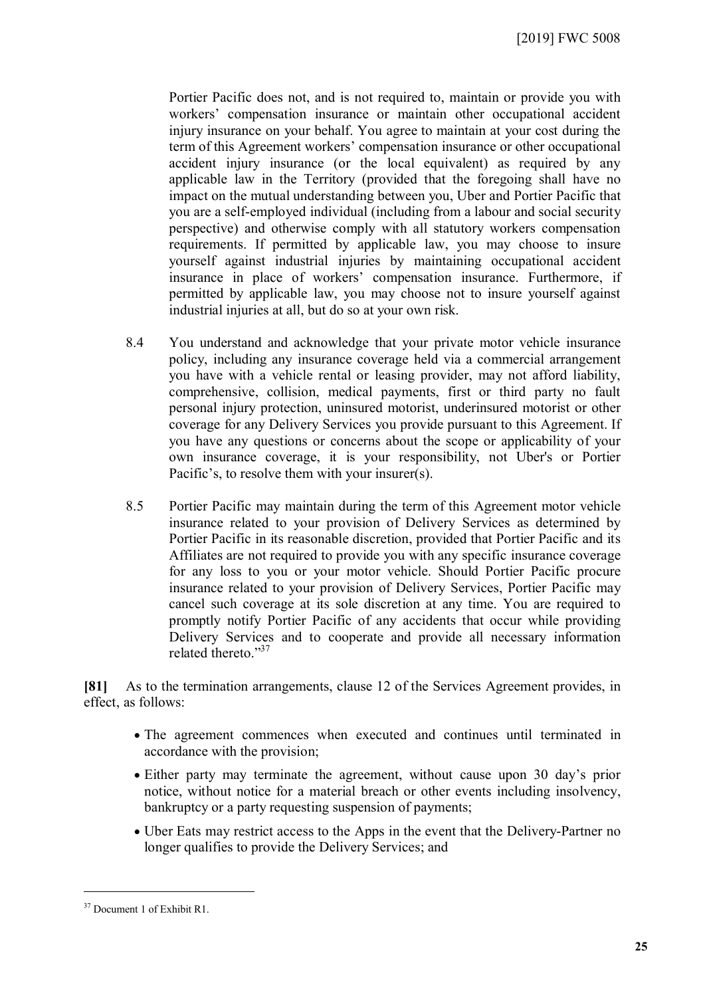Portier Pacific does not, and is not required to, maintain or provide you with workers' compensation insurance or maintain other occupational accident injury insurance on your behalf. You agree to maintain at your cost during the term of this Agreement workers' compensation insurance or other occupational accident injury insurance (or the local equivalent) as required by any applicable law in the Territory (provided that the foregoing shall have no impact on the mutual understanding between you, Uber and Portier Pacific that you are a self-employed individual (including from a labour and social security perspective) and otherwise comply with all statutory workers compensation requirements. If permitted by applicable law, you may choose to insure yourself against industrial injuries by maintaining occupational accident insurance in place of workers' compensation insurance. Furthermore, if permitted by applicable law, you may choose not to insure yourself against industrial injuries at all, but do so at your own risk.

- 8.4 You understand and acknowledge that your private motor vehicle insurance policy, including any insurance coverage held via a commercial arrangement you have with a vehicle rental or leasing provider, may not afford liability, comprehensive, collision, medical payments, first or third party no fault personal injury protection, uninsured motorist, underinsured motorist or other coverage for any Delivery Services you provide pursuant to this Agreement. If you have any questions or concerns about the scope or applicability of your own insurance coverage, it is your responsibility, not Uber's or Portier Pacific's, to resolve them with your insurer(s).
- 8.5 Portier Pacific may maintain during the term of this Agreement motor vehicle insurance related to your provision of Delivery Services as determined by Portier Pacific in its reasonable discretion, provided that Portier Pacific and its Affiliates are not required to provide you with any specific insurance coverage for any loss to you or your motor vehicle. Should Portier Pacific procure insurance related to your provision of Delivery Services, Portier Pacific may cancel such coverage at its sole discretion at any time. You are required to promptly notify Portier Pacific of any accidents that occur while providing Delivery Services and to cooperate and provide all necessary information related thereto." [37](#page-24-0)

**[81]** As to the termination arrangements, clause 12 of the Services Agreement provides, in effect, as follows:

- The agreement commences when executed and continues until terminated in accordance with the provision;
- Either party may terminate the agreement, without cause upon 30 day's prior notice, without notice for a material breach or other events including insolvency, bankruptcy or a party requesting suspension of payments;
- Uber Eats may restrict access to the Apps in the event that the Delivery-Partner no longer qualifies to provide the Delivery Services; and

<span id="page-24-0"></span><sup>37</sup> Document 1 of Exhibit R1.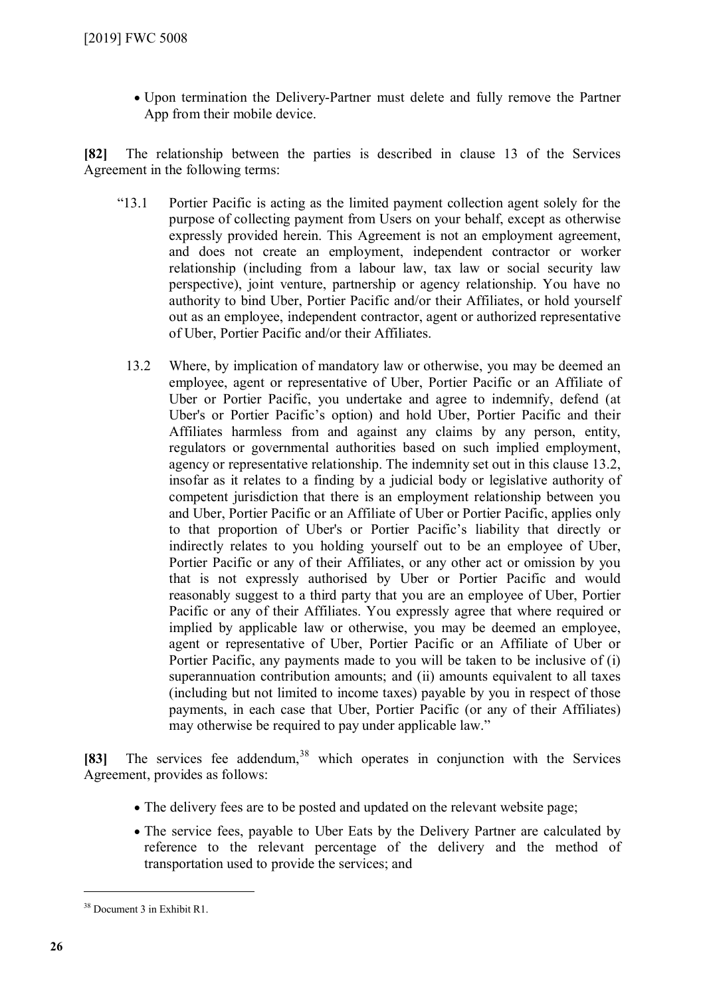Upon termination the Delivery-Partner must delete and fully remove the Partner App from their mobile device.

**[82]** The relationship between the parties is described in clause 13 of the Services Agreement in the following terms:

- "13.1 Portier Pacific is acting as the limited payment collection agent solely for the purpose of collecting payment from Users on your behalf, except as otherwise expressly provided herein. This Agreement is not an employment agreement, and does not create an employment, independent contractor or worker relationship (including from a labour law, tax law or social security law perspective), joint venture, partnership or agency relationship. You have no authority to bind Uber, Portier Pacific and/or their Affiliates, or hold yourself out as an employee, independent contractor, agent or authorized representative of Uber, Portier Pacific and/or their Affiliates.
	- 13.2 Where, by implication of mandatory law or otherwise, you may be deemed an employee, agent or representative of Uber, Portier Pacific or an Affiliate of Uber or Portier Pacific, you undertake and agree to indemnify, defend (at Uber's or Portier Pacific's option) and hold Uber, Portier Pacific and their Affiliates harmless from and against any claims by any person, entity, regulators or governmental authorities based on such implied employment, agency or representative relationship. The indemnity set out in this clause 13.2, insofar as it relates to a finding by a judicial body or legislative authority of competent jurisdiction that there is an employment relationship between you and Uber, Portier Pacific or an Affiliate of Uber or Portier Pacific, applies only to that proportion of Uber's or Portier Pacific's liability that directly or indirectly relates to you holding yourself out to be an employee of Uber, Portier Pacific or any of their Affiliates, or any other act or omission by you that is not expressly authorised by Uber or Portier Pacific and would reasonably suggest to a third party that you are an employee of Uber, Portier Pacific or any of their Affiliates. You expressly agree that where required or implied by applicable law or otherwise, you may be deemed an employee, agent or representative of Uber, Portier Pacific or an Affiliate of Uber or Portier Pacific, any payments made to you will be taken to be inclusive of (i) superannuation contribution amounts; and (ii) amounts equivalent to all taxes (including but not limited to income taxes) payable by you in respect of those payments, in each case that Uber, Portier Pacific (or any of their Affiliates) may otherwise be required to pay under applicable law."

[83] The services fee addendum,<sup>[38](#page-25-0)</sup> which operates in conjunction with the Services Agreement, provides as follows:

- The delivery fees are to be posted and updated on the relevant website page;
- The service fees, payable to Uber Eats by the Delivery Partner are calculated by reference to the relevant percentage of the delivery and the method of transportation used to provide the services; and

<span id="page-25-0"></span><sup>38</sup> Document 3 in Exhibit R1.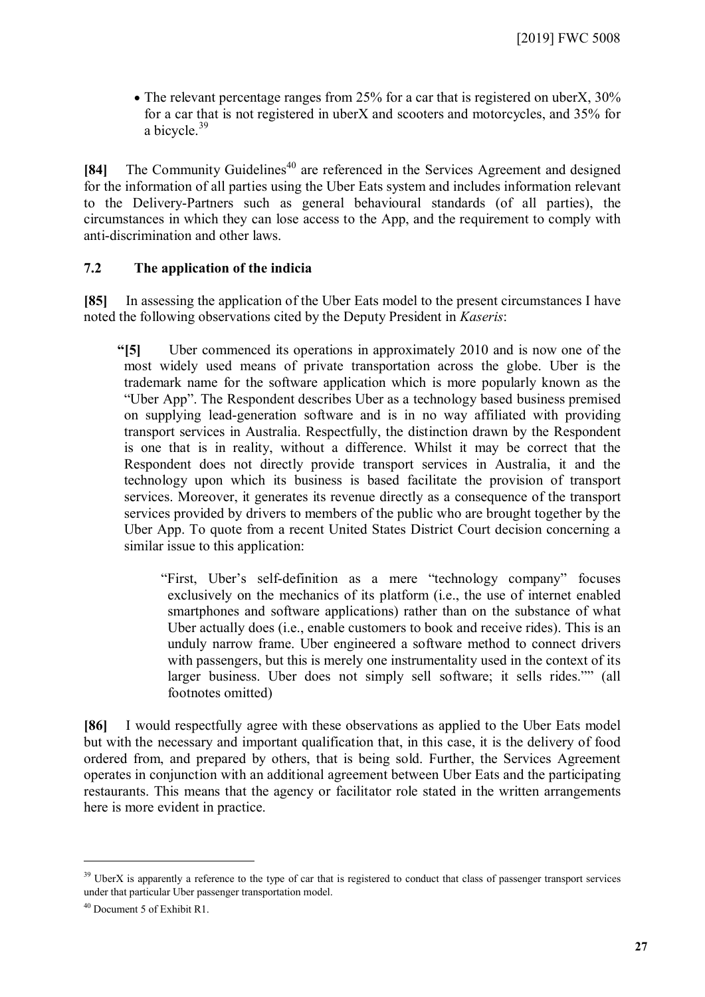• The relevant percentage ranges from 25% for a car that is registered on uberX, 30% for a car that is not registered in uberX and scooters and motorcycles, and 35% for a bicycle.<sup>[39](#page-26-0)</sup>

**[84]** The Community Guidelines<sup>[40](#page-26-1)</sup> are referenced in the Services Agreement and designed for the information of all parties using the Uber Eats system and includes information relevant to the Delivery-Partners such as general behavioural standards (of all parties), the circumstances in which they can lose access to the App, and the requirement to comply with anti-discrimination and other laws.

#### **7.2 The application of the indicia**

**[85]** In assessing the application of the Uber Eats model to the present circumstances I have noted the following observations cited by the Deputy President in *Kaseris*:

**"[5]** Uber commenced its operations in approximately 2010 and is now one of the most widely used means of private transportation across the globe. Uber is the trademark name for the software application which is more popularly known as the "Uber App". The Respondent describes Uber as a technology based business premised on supplying lead-generation software and is in no way affiliated with providing transport services in Australia. Respectfully, the distinction drawn by the Respondent is one that is in reality, without a difference. Whilst it may be correct that the Respondent does not directly provide transport services in Australia, it and the technology upon which its business is based facilitate the provision of transport services. Moreover, it generates its revenue directly as a consequence of the transport services provided by drivers to members of the public who are brought together by the Uber App. To quote from a recent United States District Court decision concerning a similar issue to this application:

"First, Uber's self-definition as a mere "technology company" focuses exclusively on the mechanics of its platform (i.e., the use of internet enabled smartphones and software applications) rather than on the substance of what Uber actually does (i.e., enable customers to book and receive rides). This is an unduly narrow frame. Uber engineered a software method to connect drivers with passengers, but this is merely one instrumentality used in the context of its larger business. Uber does not simply sell software; it sells rides."" (all footnotes omitted)

**[86]** I would respectfully agree with these observations as applied to the Uber Eats model but with the necessary and important qualification that, in this case, it is the delivery of food ordered from, and prepared by others, that is being sold. Further, the Services Agreement operates in conjunction with an additional agreement between Uber Eats and the participating restaurants. This means that the agency or facilitator role stated in the written arrangements here is more evident in practice.

<span id="page-26-0"></span><sup>&</sup>lt;sup>39</sup> UberX is apparently a reference to the type of car that is registered to conduct that class of passenger transport services under that particular Uber passenger transportation model.

<span id="page-26-1"></span><sup>40</sup> Document 5 of Exhibit R1.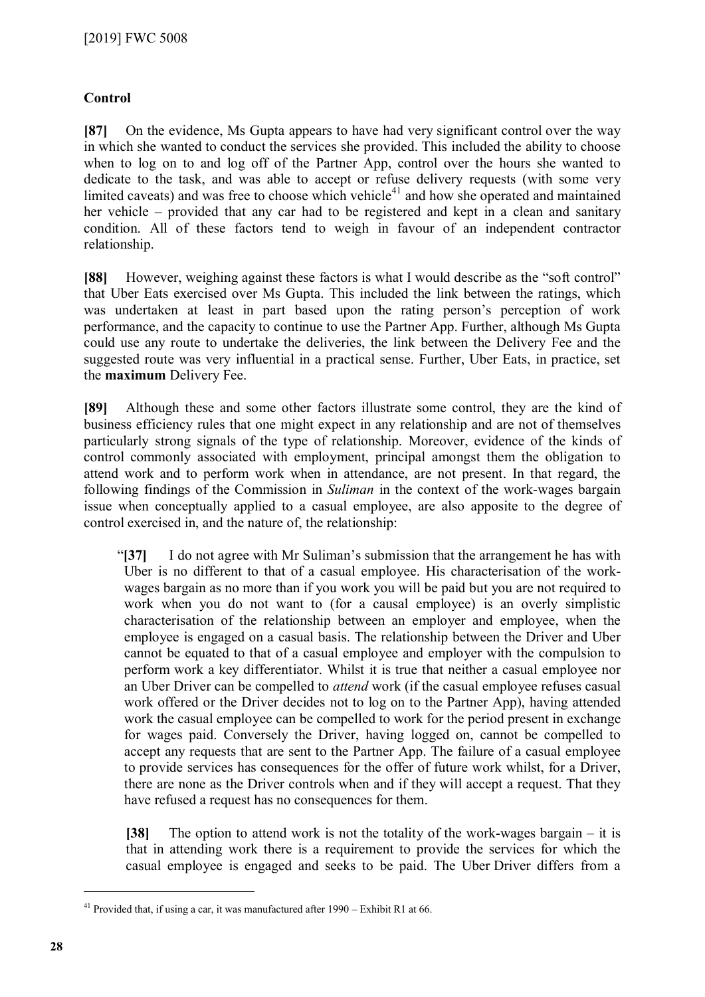### **Control**

**[87]** On the evidence, Ms Gupta appears to have had very significant control over the way in which she wanted to conduct the services she provided. This included the ability to choose when to log on to and log off of the Partner App, control over the hours she wanted to dedicate to the task, and was able to accept or refuse delivery requests (with some very limited caveats) and was free to choose which vehicle<sup>[41](#page-27-0)</sup> and how she operated and maintained her vehicle – provided that any car had to be registered and kept in a clean and sanitary condition. All of these factors tend to weigh in favour of an independent contractor relationship.

**[88]** However, weighing against these factors is what I would describe as the "soft control" that Uber Eats exercised over Ms Gupta. This included the link between the ratings, which was undertaken at least in part based upon the rating person's perception of work performance, and the capacity to continue to use the Partner App. Further, although Ms Gupta could use any route to undertake the deliveries, the link between the Delivery Fee and the suggested route was very influential in a practical sense. Further, Uber Eats, in practice, set the **maximum** Delivery Fee.

**[89]** Although these and some other factors illustrate some control, they are the kind of business efficiency rules that one might expect in any relationship and are not of themselves particularly strong signals of the type of relationship. Moreover, evidence of the kinds of control commonly associated with employment, principal amongst them the obligation to attend work and to perform work when in attendance, are not present. In that regard, the following findings of the Commission in *Suliman* in the context of the work-wages bargain issue when conceptually applied to a casual employee, are also apposite to the degree of control exercised in, and the nature of, the relationship:

"**[37]** I do not agree with Mr Suliman's submission that the arrangement he has with Uber is no different to that of a casual employee. His characterisation of the workwages bargain as no more than if you work you will be paid but you are not required to work when you do not want to (for a causal employee) is an overly simplistic characterisation of the relationship between an employer and employee, when the employee is engaged on a casual basis. The relationship between the Driver and Uber cannot be equated to that of a casual employee and employer with the compulsion to perform work a key differentiator. Whilst it is true that neither a casual employee nor an Uber Driver can be compelled to *attend* work (if the casual employee refuses casual work offered or the Driver decides not to log on to the Partner App), having attended work the casual employee can be compelled to work for the period present in exchange for wages paid. Conversely the Driver, having logged on, cannot be compelled to accept any requests that are sent to the Partner App. The failure of a casual employee to provide services has consequences for the offer of future work whilst, for a Driver, there are none as the Driver controls when and if they will accept a request. That they have refused a request has no consequences for them.

**[38]** The option to attend work is not the totality of the work-wages bargain – it is that in attending work there is a requirement to provide the services for which the casual employee is engaged and seeks to be paid. The Uber Driver differs from a

<span id="page-27-0"></span><sup>41</sup> Provided that, if using a car, it was manufactured after 1990 – Exhibit R1 at 66.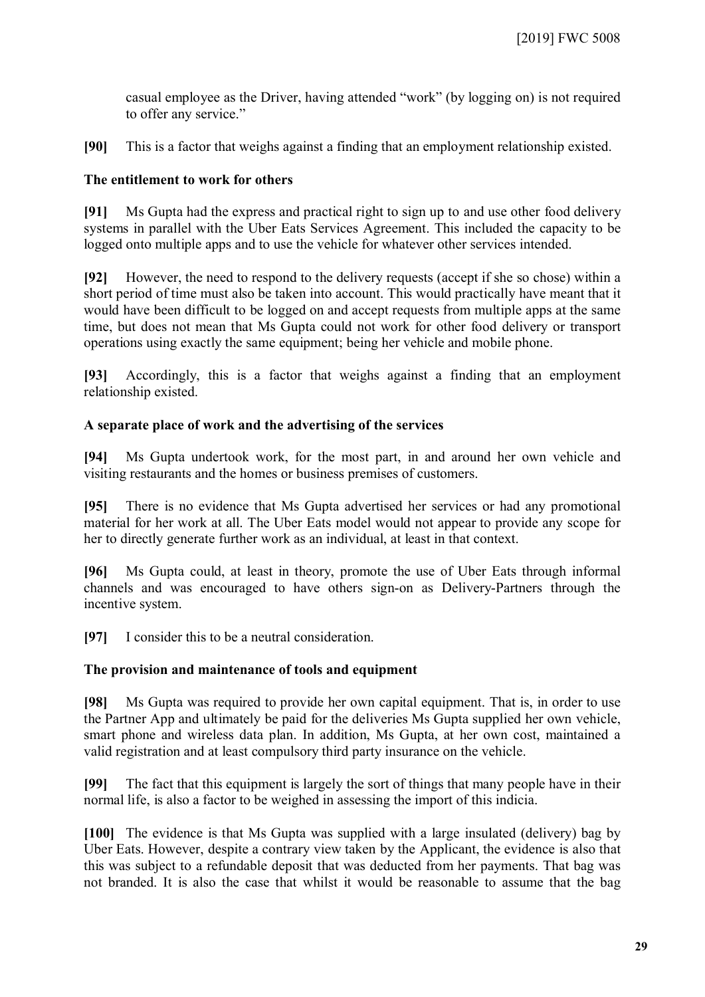casual employee as the Driver, having attended "work" (by logging on) is not required to offer any service."

**[90]** This is a factor that weighs against a finding that an employment relationship existed.

#### **The entitlement to work for others**

**[91]** Ms Gupta had the express and practical right to sign up to and use other food delivery systems in parallel with the Uber Eats Services Agreement. This included the capacity to be logged onto multiple apps and to use the vehicle for whatever other services intended.

**[92]** However, the need to respond to the delivery requests (accept if she so chose) within a short period of time must also be taken into account. This would practically have meant that it would have been difficult to be logged on and accept requests from multiple apps at the same time, but does not mean that Ms Gupta could not work for other food delivery or transport operations using exactly the same equipment; being her vehicle and mobile phone.

**[93]** Accordingly, this is a factor that weighs against a finding that an employment relationship existed.

#### **A separate place of work and the advertising of the services**

**[94]** Ms Gupta undertook work, for the most part, in and around her own vehicle and visiting restaurants and the homes or business premises of customers.

**[95]** There is no evidence that Ms Gupta advertised her services or had any promotional material for her work at all. The Uber Eats model would not appear to provide any scope for her to directly generate further work as an individual, at least in that context.

**[96]** Ms Gupta could, at least in theory, promote the use of Uber Eats through informal channels and was encouraged to have others sign-on as Delivery-Partners through the incentive system.

**[97]** I consider this to be a neutral consideration.

#### **The provision and maintenance of tools and equipment**

**[98]** Ms Gupta was required to provide her own capital equipment. That is, in order to use the Partner App and ultimately be paid for the deliveries Ms Gupta supplied her own vehicle, smart phone and wireless data plan. In addition, Ms Gupta, at her own cost, maintained a valid registration and at least compulsory third party insurance on the vehicle.

**[99]** The fact that this equipment is largely the sort of things that many people have in their normal life, is also a factor to be weighed in assessing the import of this indicia.

**[100]** The evidence is that Ms Gupta was supplied with a large insulated (delivery) bag by Uber Eats. However, despite a contrary view taken by the Applicant, the evidence is also that this was subject to a refundable deposit that was deducted from her payments. That bag was not branded. It is also the case that whilst it would be reasonable to assume that the bag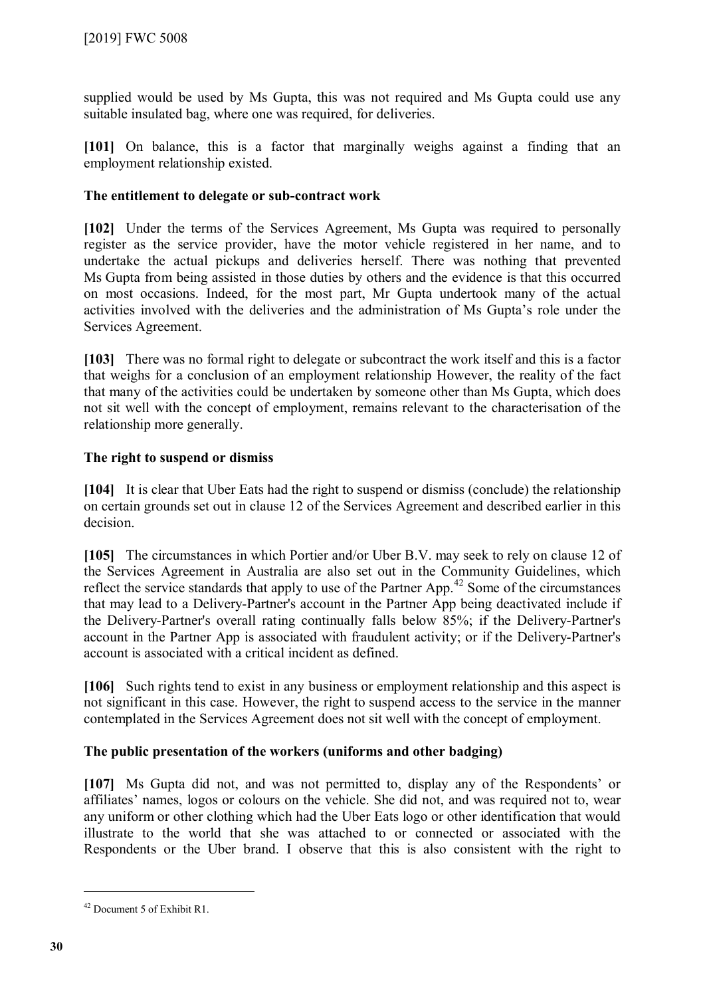supplied would be used by Ms Gupta, this was not required and Ms Gupta could use any suitable insulated bag, where one was required, for deliveries.

**[101]** On balance, this is a factor that marginally weighs against a finding that an employment relationship existed.

#### **The entitlement to delegate or sub-contract work**

**[102]** Under the terms of the Services Agreement, Ms Gupta was required to personally register as the service provider, have the motor vehicle registered in her name, and to undertake the actual pickups and deliveries herself. There was nothing that prevented Ms Gupta from being assisted in those duties by others and the evidence is that this occurred on most occasions. Indeed, for the most part, Mr Gupta undertook many of the actual activities involved with the deliveries and the administration of Ms Gupta's role under the Services Agreement.

**[103]** There was no formal right to delegate or subcontract the work itself and this is a factor that weighs for a conclusion of an employment relationship However, the reality of the fact that many of the activities could be undertaken by someone other than Ms Gupta, which does not sit well with the concept of employment, remains relevant to the characterisation of the relationship more generally.

### **The right to suspend or dismiss**

**[104]** It is clear that Uber Eats had the right to suspend or dismiss (conclude) the relationship on certain grounds set out in clause 12 of the Services Agreement and described earlier in this decision.

**[105]** The circumstances in which Portier and/or Uber B.V. may seek to rely on clause 12 of the Services Agreement in Australia are also set out in the Community Guidelines, which reflect the service standards that apply to use of the Partner App.<sup>[42](#page-29-0)</sup> Some of the circumstances that may lead to a Delivery-Partner's account in the Partner App being deactivated include if the Delivery-Partner's overall rating continually falls below 85%; if the Delivery-Partner's account in the Partner App is associated with fraudulent activity; or if the Delivery-Partner's account is associated with a critical incident as defined.

**[106]** Such rights tend to exist in any business or employment relationship and this aspect is not significant in this case. However, the right to suspend access to the service in the manner contemplated in the Services Agreement does not sit well with the concept of employment.

## **The public presentation of the workers (uniforms and other badging)**

**[107]** Ms Gupta did not, and was not permitted to, display any of the Respondents' or affiliates' names, logos or colours on the vehicle. She did not, and was required not to, wear any uniform or other clothing which had the Uber Eats logo or other identification that would illustrate to the world that she was attached to or connected or associated with the Respondents or the Uber brand. I observe that this is also consistent with the right to

<span id="page-29-0"></span><sup>42</sup> Document 5 of Exhibit R1.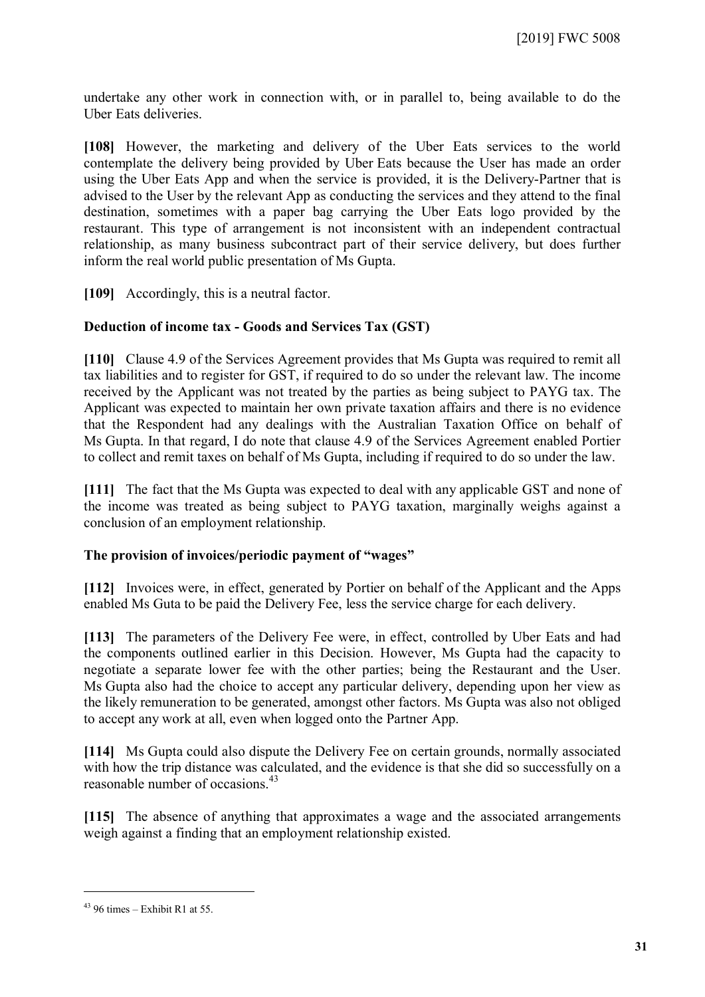undertake any other work in connection with, or in parallel to, being available to do the Uber Eats deliveries.

**[108]** However, the marketing and delivery of the Uber Eats services to the world contemplate the delivery being provided by Uber Eats because the User has made an order using the Uber Eats App and when the service is provided, it is the Delivery-Partner that is advised to the User by the relevant App as conducting the services and they attend to the final destination, sometimes with a paper bag carrying the Uber Eats logo provided by the restaurant. This type of arrangement is not inconsistent with an independent contractual relationship, as many business subcontract part of their service delivery, but does further inform the real world public presentation of Ms Gupta.

**[109]** Accordingly, this is a neutral factor.

#### **Deduction of income tax - Goods and Services Tax (GST)**

**[110]** Clause 4.9 of the Services Agreement provides that Ms Gupta was required to remit all tax liabilities and to register for GST, if required to do so under the relevant law. The income received by the Applicant was not treated by the parties as being subject to PAYG tax. The Applicant was expected to maintain her own private taxation affairs and there is no evidence that the Respondent had any dealings with the Australian Taxation Office on behalf of Ms Gupta. In that regard, I do note that clause 4.9 of the Services Agreement enabled Portier to collect and remit taxes on behalf of Ms Gupta, including if required to do so under the law.

**[111]** The fact that the Ms Gupta was expected to deal with any applicable GST and none of the income was treated as being subject to PAYG taxation, marginally weighs against a conclusion of an employment relationship.

#### **The provision of invoices/periodic payment of "wages"**

**[112]** Invoices were, in effect, generated by Portier on behalf of the Applicant and the Apps enabled Ms Guta to be paid the Delivery Fee, less the service charge for each delivery.

**[113]** The parameters of the Delivery Fee were, in effect, controlled by Uber Eats and had the components outlined earlier in this Decision. However, Ms Gupta had the capacity to negotiate a separate lower fee with the other parties; being the Restaurant and the User. Ms Gupta also had the choice to accept any particular delivery, depending upon her view as the likely remuneration to be generated, amongst other factors. Ms Gupta was also not obliged to accept any work at all, even when logged onto the Partner App.

**[114]** Ms Gupta could also dispute the Delivery Fee on certain grounds, normally associated with how the trip distance was calculated, and the evidence is that she did so successfully on a reasonable number of occasions.<sup>[43](#page-30-0)</sup>

**[115]** The absence of anything that approximates a wage and the associated arrangements weigh against a finding that an employment relationship existed.

<span id="page-30-0"></span> $43$  96 times – Exhibit R1 at 55.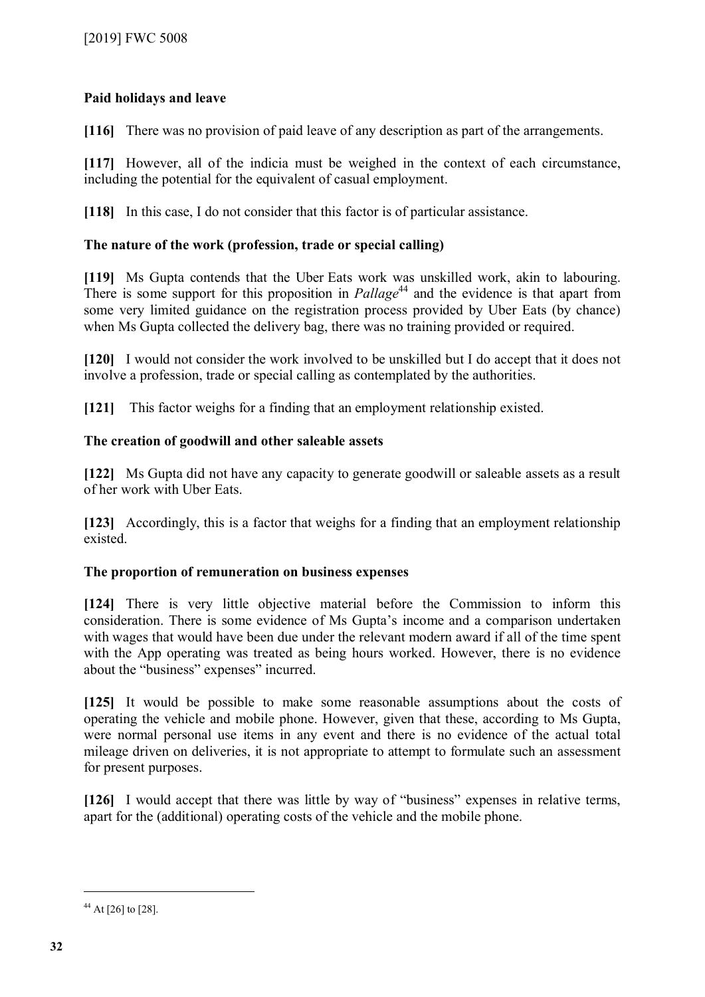## **Paid holidays and leave**

**[116]** There was no provision of paid leave of any description as part of the arrangements.

**[117]** However, all of the indicia must be weighed in the context of each circumstance, including the potential for the equivalent of casual employment.

**[118]** In this case, I do not consider that this factor is of particular assistance.

## **The nature of the work (profession, trade or special calling)**

**[119]** Ms Gupta contends that the Uber Eats work was unskilled work, akin to labouring. There is some support for this proposition in *Pallage*<sup>[44](#page-31-0)</sup> and the evidence is that apart from some very limited guidance on the registration process provided by Uber Eats (by chance) when Ms Gupta collected the delivery bag, there was no training provided or required.

**[120]** I would not consider the work involved to be unskilled but I do accept that it does not involve a profession, trade or special calling as contemplated by the authorities.

**[121]** This factor weighs for a finding that an employment relationship existed.

## **The creation of goodwill and other saleable assets**

**[122]** Ms Gupta did not have any capacity to generate goodwill or saleable assets as a result of her work with Uber Eats.

**[123]** Accordingly, this is a factor that weighs for a finding that an employment relationship existed.

## **The proportion of remuneration on business expenses**

**[124]** There is very little objective material before the Commission to inform this consideration. There is some evidence of Ms Gupta's income and a comparison undertaken with wages that would have been due under the relevant modern award if all of the time spent with the App operating was treated as being hours worked. However, there is no evidence about the "business" expenses" incurred.

**[125]** It would be possible to make some reasonable assumptions about the costs of operating the vehicle and mobile phone. However, given that these, according to Ms Gupta, were normal personal use items in any event and there is no evidence of the actual total mileage driven on deliveries, it is not appropriate to attempt to formulate such an assessment for present purposes.

**[126]** I would accept that there was little by way of "business" expenses in relative terms, apart for the (additional) operating costs of the vehicle and the mobile phone.

<span id="page-31-0"></span><sup>&</sup>lt;sup>44</sup> At [26] to [28].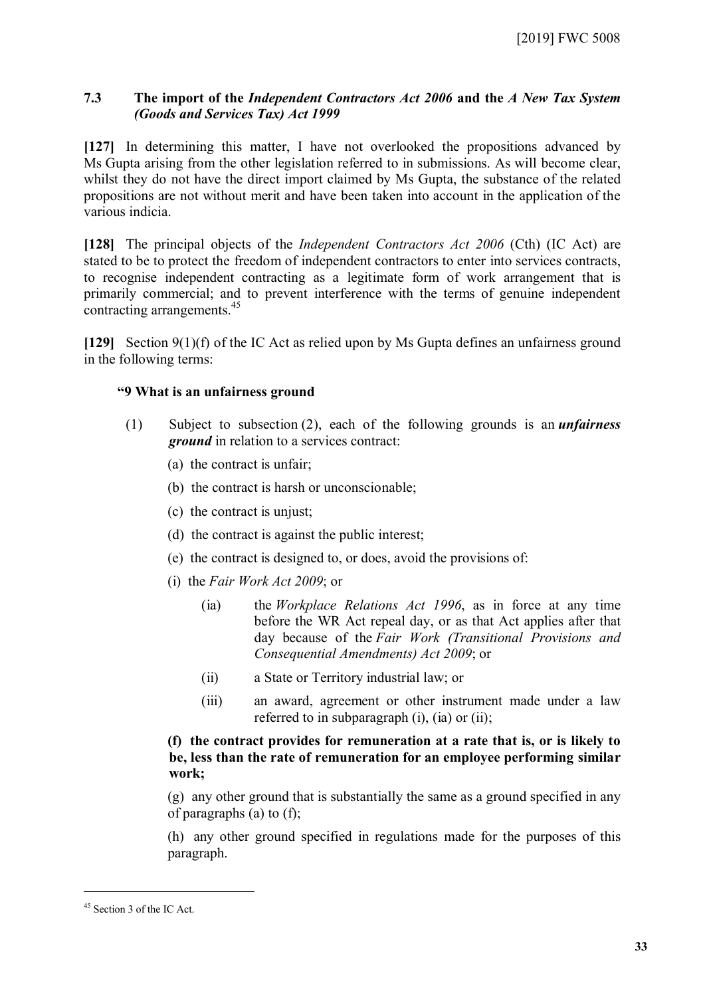#### **7.3 The import of the** *Independent Contractors Act 2006* **and the** *A New Tax System (Goods and Services Tax) Act 1999*

**[127]** In determining this matter, I have not overlooked the propositions advanced by Ms Gupta arising from the other legislation referred to in submissions. As will become clear, whilst they do not have the direct import claimed by Ms Gupta, the substance of the related propositions are not without merit and have been taken into account in the application of the various indicia.

**[128]** The principal objects of the *Independent Contractors Act 2006* (Cth) (IC Act) are stated to be to protect the freedom of independent contractors to enter into services contracts, to recognise independent contracting as a legitimate form of work arrangement that is primarily commercial; and to prevent interference with the terms of genuine independent contracting arrangements.[45](#page-32-0)

**[129]** Section 9(1)(f) of the IC Act as relied upon by Ms Gupta defines an unfairness ground in the following terms:

#### **"9 What is an unfairness ground**

- (1) Subject to subsection (2), each of the following grounds is an *unfairness ground* in relation to a services contract:
	- (a) the contract is unfair;
	- (b) the contract is harsh or unconscionable;
	- (c) the contract is unjust;
	- (d) the contract is against the public interest;
	- (e) the contract is designed to, or does, avoid the provisions of:
	- (i) the *Fair Work Act 2009*; or
		- (ia) the *Workplace Relations Act 1996*, as in force at any time before the WR Act repeal day, or as that Act applies after that day because of the *Fair Work (Transitional Provisions and Consequential Amendments) Act 2009*; or
		- (ii) a State or Territory industrial law; or
		- (iii) an award, agreement or other instrument made under a law referred to in subparagraph (i), (ia) or (ii);

#### **(f) the contract provides for remuneration at a rate that is, or is likely to be, less than the rate of remuneration for an employee performing similar work;**

(g) any other ground that is substantially the same as a ground specified in any of paragraphs (a) to (f);

(h) any other ground specified in regulations made for the purposes of this paragraph.

<span id="page-32-0"></span><sup>45</sup> Section 3 of the IC Act.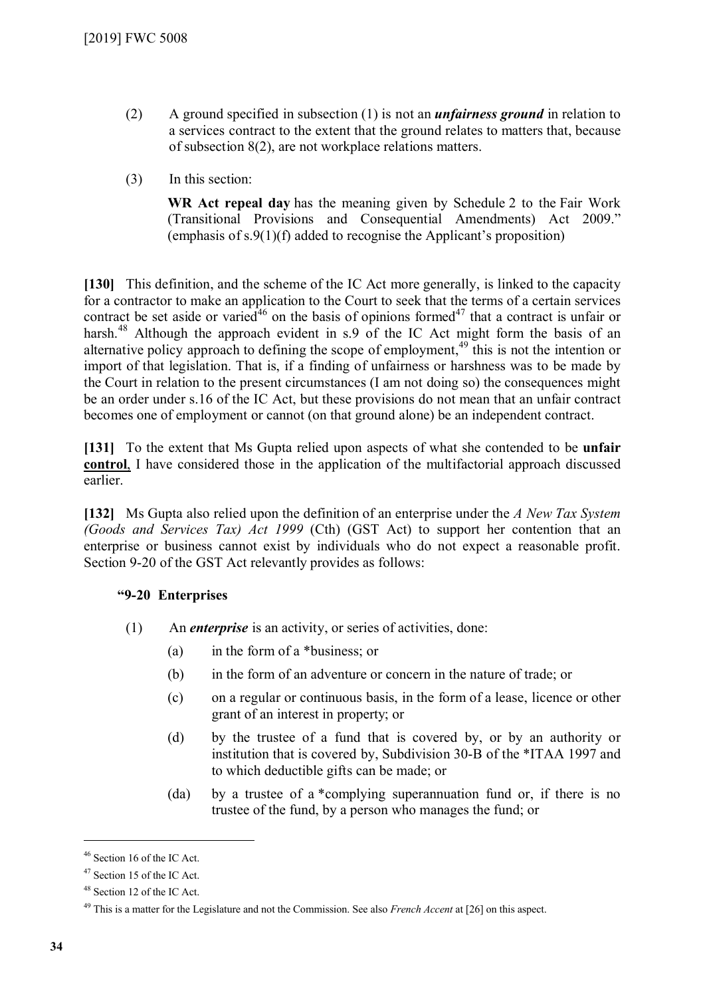- (2) A ground specified in subsection (1) is not an *unfairness ground* in relation to a services contract to the extent that the ground relates to matters that, because of subsection 8(2), are not workplace relations matters.
- (3) In this section:

**WR Act repeal day** has the meaning given by Schedule 2 to the Fair Work (Transitional Provisions and Consequential Amendments) Act 2009." (emphasis of s.9(1)(f) added to recognise the Applicant's proposition)

**[130]** This definition, and the scheme of the IC Act more generally, is linked to the capacity for a contractor to make an application to the Court to seek that the terms of a certain services contract be set aside or varied<sup>[46](#page-33-0)</sup> on the basis of opinions formed<sup>[47](#page-33-1)</sup> that a contract is unfair or harsh.<sup>[48](#page-33-2)</sup> Although the approach evident in s.9 of the IC Act might form the basis of an alternative policy approach to defining the scope of employment,<sup>[49](#page-33-3)</sup> this is not the intention or import of that legislation. That is, if a finding of unfairness or harshness was to be made by the Court in relation to the present circumstances (I am not doing so) the consequences might be an order under s.16 of the IC Act, but these provisions do not mean that an unfair contract becomes one of employment or cannot (on that ground alone) be an independent contract.

**[131]** To the extent that Ms Gupta relied upon aspects of what she contended to be **unfair control**, I have considered those in the application of the multifactorial approach discussed earlier.

**[132]** Ms Gupta also relied upon the definition of an enterprise under the *A New Tax System (Goods and Services Tax) Act 1999* (Cth) (GST Act) to support her contention that an enterprise or business cannot exist by individuals who do not expect a reasonable profit. Section 9-20 of the GST Act relevantly provides as follows:

#### **"9-20 Enterprises**

- (1) An *enterprise* is an activity, or series of activities, done:
	- (a) in the form of a \*business; or
	- (b) in the form of an adventure or concern in the nature of trade; or
	- (c) on a regular or continuous basis, in the form of a lease, licence or other grant of an interest in property; or
	- (d) by the trustee of a fund that is covered by, or by an authority or institution that is covered by, Subdivision 30-B of the \*ITAA 1997 and to which deductible gifts can be made; or
	- (da) by a trustee of a \*complying superannuation fund or, if there is no trustee of the fund, by a person who manages the fund; or

<span id="page-33-0"></span><sup>46</sup> Section 16 of the IC Act.

<span id="page-33-1"></span><sup>47</sup> Section 15 of the IC Act.

<span id="page-33-2"></span><sup>48</sup> Section 12 of the IC Act.

<span id="page-33-3"></span><sup>49</sup> This is a matter for the Legislature and not the Commission. See also *French Accent* at [26] on this aspect.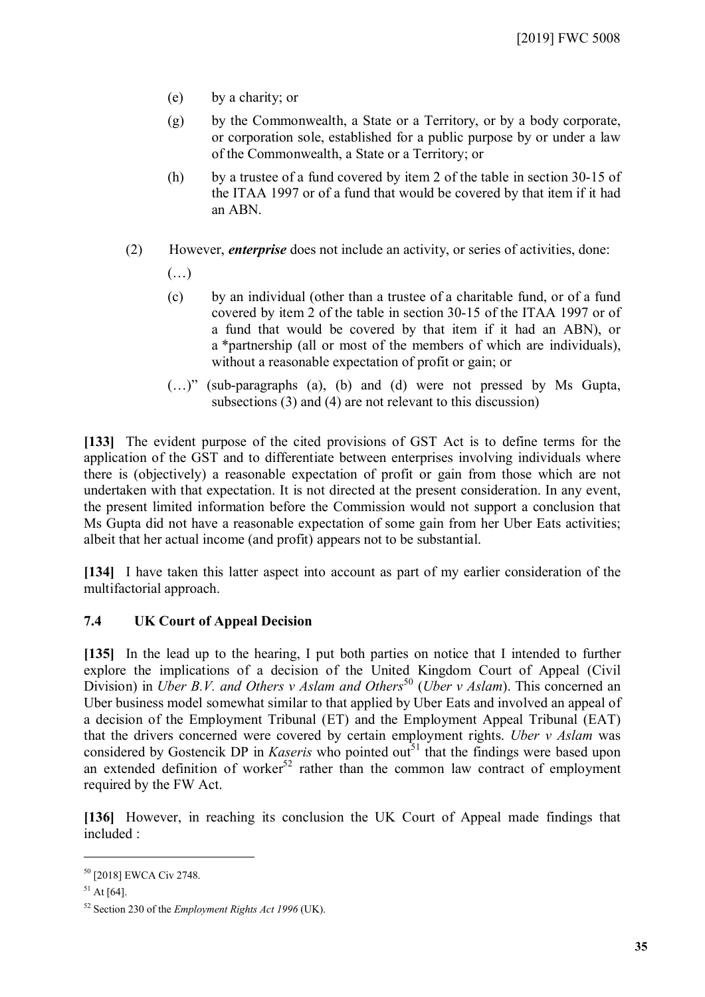- (e) by a charity; or
- (g) by the Commonwealth, a State or a Territory, or by a body corporate, or corporation sole, established for a public purpose by or under a law of the Commonwealth, a State or a Territory; or
- (h) by a trustee of a fund covered by item 2 of the table in section 30-15 of the ITAA 1997 or of a fund that would be covered by that item if it had an ABN.
- (2) However, *enterprise* does not include an activity, or series of activities, done:
	- $(\ldots)$
	- (c) by an individual (other than a trustee of a charitable fund, or of a fund covered by item 2 of the table in section 30-15 of the ITAA 1997 or of a fund that would be covered by that item if it had an ABN), or a \*partnership (all or most of the members of which are individuals), without a reasonable expectation of profit or gain; or
	- (…)" (sub-paragraphs (a), (b) and (d) were not pressed by Ms Gupta, subsections (3) and (4) are not relevant to this discussion)

**[133]** The evident purpose of the cited provisions of GST Act is to define terms for the application of the GST and to differentiate between enterprises involving individuals where there is (objectively) a reasonable expectation of profit or gain from those which are not undertaken with that expectation. It is not directed at the present consideration. In any event, the present limited information before the Commission would not support a conclusion that Ms Gupta did not have a reasonable expectation of some gain from her Uber Eats activities; albeit that her actual income (and profit) appears not to be substantial.

**[134]** I have taken this latter aspect into account as part of my earlier consideration of the multifactorial approach.

#### **7.4 UK Court of Appeal Decision**

**[135]** In the lead up to the hearing, I put both parties on notice that I intended to further explore the implications of a decision of the United Kingdom Court of Appeal (Civil Division) in *Uber B.V. and Others v Aslam and Others*<sup>[50](#page-34-0)</sup> (*Uber v Aslam*). This concerned an Uber business model somewhat similar to that applied by Uber Eats and involved an appeal of a decision of the Employment Tribunal (ET) and the Employment Appeal Tribunal (EAT) that the drivers concerned were covered by certain employment rights. *Uber v Aslam* was considered by Gostencik DP in *Kaseris* who pointed out<sup>[51](#page-34-1)</sup> that the findings were based upon an extended definition of worker<sup>[52](#page-34-2)</sup> rather than the common law contract of employment required by the FW Act.

**[136]** However, in reaching its conclusion the UK Court of Appeal made findings that included :

<span id="page-34-0"></span><sup>50</sup> [2018] EWCA Civ 2748.

<span id="page-34-1"></span> $51$  At [64].

<span id="page-34-2"></span><sup>52</sup> Section 230 of the *Employment Rights Act 1996* (UK).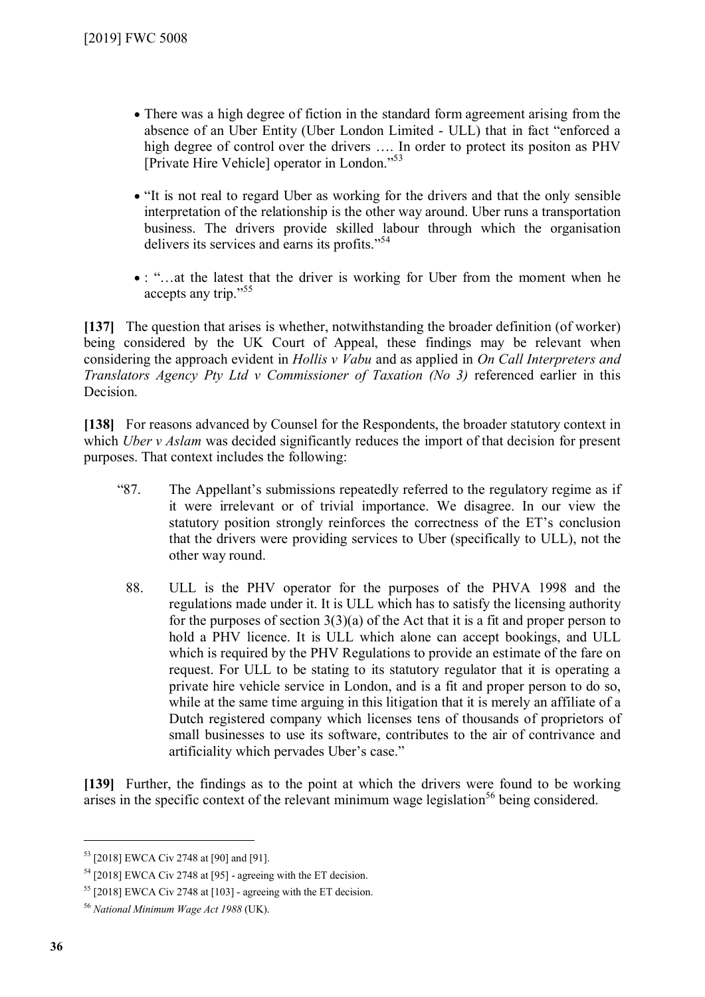- There was a high degree of fiction in the standard form agreement arising from the absence of an Uber Entity (Uber London Limited - ULL) that in fact "enforced a high degree of control over the drivers …. In order to protect its positon as PHV [Private Hire Vehicle] operator in London."[53](#page-35-0)
- "It is not real to regard Uber as working for the drivers and that the only sensible interpretation of the relationship is the other way around. Uber runs a transportation business. The drivers provide skilled labour through which the organisation delivers its services and earns its profits."[54](#page-35-1)
- : "…at the latest that the driver is working for Uber from the moment when he accepts any trip."[55](#page-35-2)

**[137]** The question that arises is whether, notwithstanding the broader definition (of worker) being considered by the UK Court of Appeal, these findings may be relevant when considering the approach evident in *Hollis v Vabu* and as applied in *On Call Interpreters and Translators Agency Pty Ltd v Commissioner of Taxation (No 3)* referenced earlier in this Decision.

**[138]** For reasons advanced by Counsel for the Respondents, the broader statutory context in which *Uber v Aslam* was decided significantly reduces the import of that decision for present purposes. That context includes the following:

- "87. The Appellant's submissions repeatedly referred to the regulatory regime as if it were irrelevant or of trivial importance. We disagree. In our view the statutory position strongly reinforces the correctness of the ET's conclusion that the drivers were providing services to Uber (specifically to ULL), not the other way round.
	- 88. ULL is the PHV operator for the purposes of the PHVA 1998 and the regulations made under it. It is ULL which has to satisfy the licensing authority for the purposes of section  $3(3)(a)$  of the Act that it is a fit and proper person to hold a PHV licence. It is ULL which alone can accept bookings, and ULL which is required by the PHV Regulations to provide an estimate of the fare on request. For ULL to be stating to its statutory regulator that it is operating a private hire vehicle service in London, and is a fit and proper person to do so, while at the same time arguing in this litigation that it is merely an affiliate of a Dutch registered company which licenses tens of thousands of proprietors of small businesses to use its software, contributes to the air of contrivance and artificiality which pervades Uber's case."

**[139]** Further, the findings as to the point at which the drivers were found to be working arises in the specific context of the relevant minimum wage legislation<sup>[56](#page-35-3)</sup> being considered.

<span id="page-35-0"></span><sup>53</sup> [2018] EWCA Civ 2748 at [90] and [91].

<span id="page-35-1"></span> $54$  [2018] EWCA Civ 2748 at [95] - agreeing with the ET decision.

<span id="page-35-2"></span> $55$  [2018] EWCA Civ 2748 at [103] - agreeing with the ET decision.

<span id="page-35-3"></span><sup>56</sup> *National Minimum Wage Act 1988* (UK).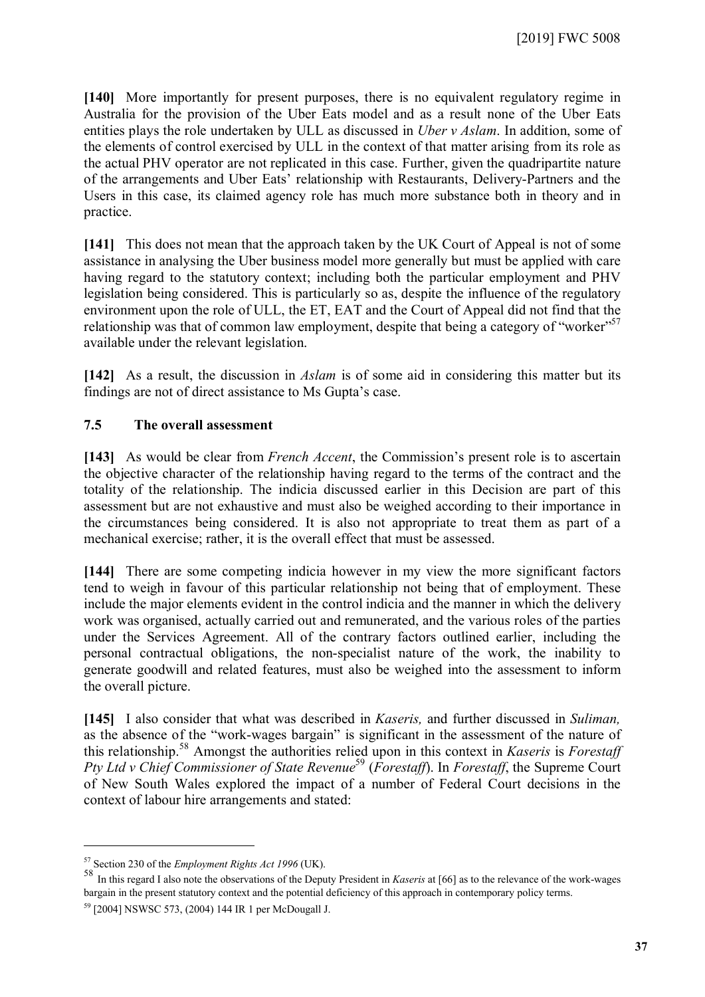**[140]** More importantly for present purposes, there is no equivalent regulatory regime in Australia for the provision of the Uber Eats model and as a result none of the Uber Eats entities plays the role undertaken by ULL as discussed in *Uber v Aslam*. In addition, some of the elements of control exercised by ULL in the context of that matter arising from its role as the actual PHV operator are not replicated in this case. Further, given the quadripartite nature of the arrangements and Uber Eats' relationship with Restaurants, Delivery-Partners and the Users in this case, its claimed agency role has much more substance both in theory and in practice.

**[141]** This does not mean that the approach taken by the UK Court of Appeal is not of some assistance in analysing the Uber business model more generally but must be applied with care having regard to the statutory context; including both the particular employment and PHV legislation being considered. This is particularly so as, despite the influence of the regulatory environment upon the role of ULL, the ET, EAT and the Court of Appeal did not find that the relationship was that of common law employment, despite that being a category of "worker"<sup>[57](#page-36-0)</sup> available under the relevant legislation.

**[142]** As a result, the discussion in *Aslam* is of some aid in considering this matter but its findings are not of direct assistance to Ms Gupta's case.

#### **7.5 The overall assessment**

**[143]** As would be clear from *French Accent*, the Commission's present role is to ascertain the objective character of the relationship having regard to the terms of the contract and the totality of the relationship. The indicia discussed earlier in this Decision are part of this assessment but are not exhaustive and must also be weighed according to their importance in the circumstances being considered. It is also not appropriate to treat them as part of a mechanical exercise; rather, it is the overall effect that must be assessed.

**[144]** There are some competing indicia however in my view the more significant factors tend to weigh in favour of this particular relationship not being that of employment. These include the major elements evident in the control indicia and the manner in which the delivery work was organised, actually carried out and remunerated, and the various roles of the parties under the Services Agreement. All of the contrary factors outlined earlier, including the personal contractual obligations, the non-specialist nature of the work, the inability to generate goodwill and related features, must also be weighed into the assessment to inform the overall picture.

**[145]** I also consider that what was described in *Kaseris,* and further discussed in *Suliman,* as the absence of the "work-wages bargain" is significant in the assessment of the nature of this relationship.[58](#page-36-1) Amongst the authorities relied upon in this context in *Kaseris* is *Forestaff Pty Ltd v Chief Commissioner of State Revenue*<sup>[59](#page-36-2)</sup> (*Forestaff*). In *Forestaff*, the Supreme Court of New South Wales explored the impact of a number of Federal Court decisions in the context of labour hire arrangements and stated:

<sup>57</sup> Section 230 of the *Employment Rights Act 1996* (UK).

<span id="page-36-1"></span><span id="page-36-0"></span><sup>58</sup> In this regard I also note the observations of the Deputy President in *Kaseris* at [66] as to the relevance of the work-wages bargain in the present statutory context and the potential deficiency of this approach in contemporary policy terms.

<span id="page-36-2"></span><sup>59</sup> [2004] NSWSC 573, (2004) 144 IR 1 per McDougall J.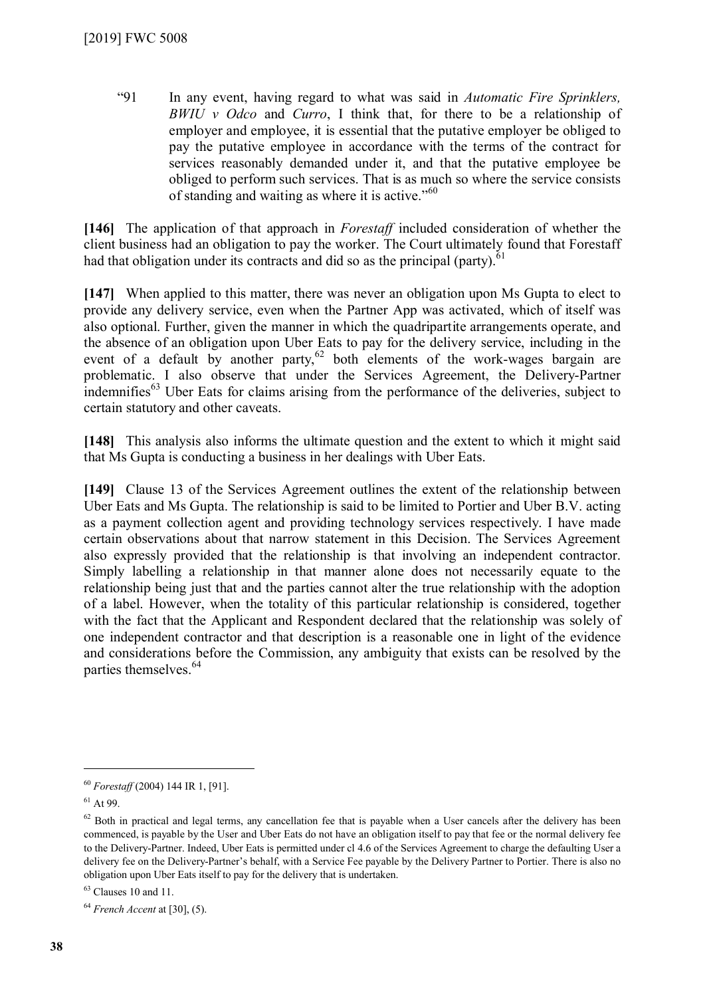"91 In any event, having regard to what was said in *Automatic Fire Sprinklers, BWIU v Odco* and *Curro*, I think that, for there to be a relationship of employer and employee, it is essential that the putative employer be obliged to pay the putative employee in accordance with the terms of the contract for services reasonably demanded under it, and that the putative employee be obliged to perform such services. That is as much so where the service consists of standing and waiting as where it is active. $10^{60}$  $10^{60}$  $10^{60}$ 

**[146]** The application of that approach in *Forestaff* included consideration of whether the client business had an obligation to pay the worker. The Court ultimately found that Forestaff had that obligation under its contracts and did so as the principal (party).<sup>[61](#page-37-1)</sup>

**[147]** When applied to this matter, there was never an obligation upon Ms Gupta to elect to provide any delivery service, even when the Partner App was activated, which of itself was also optional. Further, given the manner in which the quadripartite arrangements operate, and the absence of an obligation upon Uber Eats to pay for the delivery service, including in the event of a default by another party,<sup>[62](#page-37-2)</sup> both elements of the work-wages bargain are problematic. I also observe that under the Services Agreement, the Delivery-Partner indemnifies<sup>[63](#page-37-3)</sup> Uber Eats for claims arising from the performance of the deliveries, subject to certain statutory and other caveats.

**[148]** This analysis also informs the ultimate question and the extent to which it might said that Ms Gupta is conducting a business in her dealings with Uber Eats.

**[149]** Clause 13 of the Services Agreement outlines the extent of the relationship between Uber Eats and Ms Gupta. The relationship is said to be limited to Portier and Uber B.V. acting as a payment collection agent and providing technology services respectively. I have made certain observations about that narrow statement in this Decision. The Services Agreement also expressly provided that the relationship is that involving an independent contractor. Simply labelling a relationship in that manner alone does not necessarily equate to the relationship being just that and the parties cannot alter the true relationship with the adoption of a label. However, when the totality of this particular relationship is considered, together with the fact that the Applicant and Respondent declared that the relationship was solely of one independent contractor and that description is a reasonable one in light of the evidence and considerations before the Commission, any ambiguity that exists can be resolved by the parties themselves.<sup>[64](#page-37-4)</sup>

<span id="page-37-0"></span><sup>60</sup> *Forestaff* (2004) 144 IR 1, [91].

<span id="page-37-1"></span> $61$  At 99.

<span id="page-37-2"></span> $62$  Both in practical and legal terms, any cancellation fee that is payable when a User cancels after the delivery has been commenced, is payable by the User and Uber Eats do not have an obligation itself to pay that fee or the normal delivery fee to the Delivery-Partner. Indeed, Uber Eats is permitted under cl 4.6 of the Services Agreement to charge the defaulting User a delivery fee on the Delivery-Partner's behalf, with a Service Fee payable by the Delivery Partner to Portier. There is also no obligation upon Uber Eats itself to pay for the delivery that is undertaken.

<span id="page-37-3"></span> $63$  Clauses 10 and 11.

<span id="page-37-4"></span><sup>64</sup> *French Accent* at [30], (5).